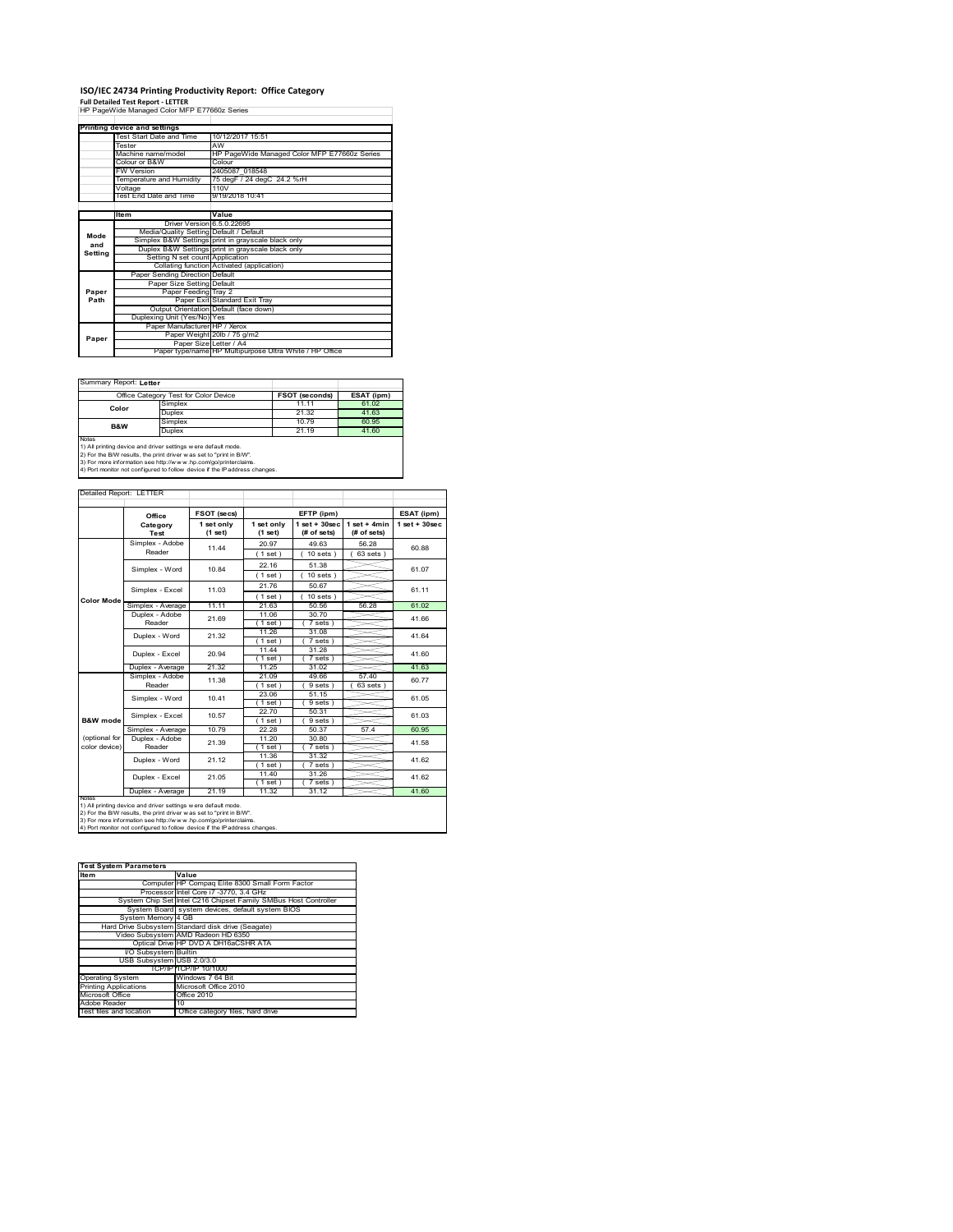# **ISO/IEC 24734 Printing Productivity Report: Office Category Full Detailed Test Report ‐ LETTER** HP PageWide Managed Color MFP E77660z Series

|         | HP PageWide Managed Color MFP E77660z Series |                                                         |  |  |  |
|---------|----------------------------------------------|---------------------------------------------------------|--|--|--|
|         |                                              |                                                         |  |  |  |
|         | Printing device and settings                 |                                                         |  |  |  |
|         | Test Start Date and Time                     | 10/12/2017 15:51                                        |  |  |  |
|         | Tester                                       | AW                                                      |  |  |  |
|         | Machine name/model                           | HP PageWide Managed Color MFP E77660z Series            |  |  |  |
|         | Colour or B&W                                | Colour                                                  |  |  |  |
|         | <b>FW Version</b>                            | 2405087 018548                                          |  |  |  |
|         | Temperature and Humidity                     | 75 degF / 24 degC 24.2 %rH                              |  |  |  |
|         | Voltage                                      | 110V                                                    |  |  |  |
|         | Test End Date and Time                       | 9/19/2018 10:41                                         |  |  |  |
|         |                                              |                                                         |  |  |  |
|         | <b>Item</b>                                  | Value                                                   |  |  |  |
|         | Driver Version 6.5.0.22695                   |                                                         |  |  |  |
| Mode    | Media/Quality Setting Default / Default      |                                                         |  |  |  |
| and     |                                              | Simplex B&W Settings print in grayscale black only      |  |  |  |
| Setting |                                              | Duplex B&W Settings print in grayscale black only       |  |  |  |
|         | Setting N set count Application              |                                                         |  |  |  |
|         |                                              | Collating function Activated (application)              |  |  |  |
|         | Paper Sending Direction Default              |                                                         |  |  |  |
|         | Paper Size Setting Default                   |                                                         |  |  |  |
| Paper   | Paper Feeding Tray 2                         |                                                         |  |  |  |
| Path    |                                              | Paper Exit Standard Exit Tray                           |  |  |  |
|         |                                              | Output Orientation Default (face down)                  |  |  |  |
|         | Duplexing Unit (Yes/No) Yes                  |                                                         |  |  |  |
|         | Paper Manufacturer HP / Xerox                |                                                         |  |  |  |
| Paper   |                                              | Paper Weight 20lb / 75 g/m2                             |  |  |  |
|         | Paper Size Letter / A4                       |                                                         |  |  |  |
|         |                                              | Paper type/name HP Multipurpose Ultra White / HP Office |  |  |  |

Summary Report: **Letter**

| Office Category Test for Color Device                               |                                                                                | <b>FSOT (seconds)</b> | ESAT (ipm) |  |  |
|---------------------------------------------------------------------|--------------------------------------------------------------------------------|-----------------------|------------|--|--|
| Color                                                               | Simplex                                                                        | 11.11                 | 61.02      |  |  |
|                                                                     | Duplex                                                                         | 21.32                 | 41.63      |  |  |
|                                                                     | Simplex                                                                        | 10.79                 | 60.95      |  |  |
| B&W                                                                 | Duplex                                                                         | 21.19                 | 41.60      |  |  |
| Notes                                                               |                                                                                |                       |            |  |  |
| 1) All printing device and driver settings w ere default mode.      |                                                                                |                       |            |  |  |
| 2) For the B/W results, the print driver was set to "print in B/W". |                                                                                |                       |            |  |  |
|                                                                     | 195. The more information one letter (horrors) has a contractorizational dimen |                       |            |  |  |

٦

3) For more information see http://w w w .hp.com/go/printerclaims. 4) Port monitor not configured to follow device if the IP address changes.

| Detailed Report: LETTER |                           |                       |                       |                                   |                               |                   |
|-------------------------|---------------------------|-----------------------|-----------------------|-----------------------------------|-------------------------------|-------------------|
|                         | Office                    | FSOT (secs)           |                       | EFTP (ipm)                        |                               | ESAT (ipm)        |
|                         | Category<br>Test          | 1 set only<br>(1 set) | 1 set only<br>(1 set) | $1$ set + $30$ sec<br>(# of sets) | $1$ set + 4min<br>(# of sets) | $1$ set $+30$ sec |
|                         | Simplex - Adobe<br>Reader | 11 44                 | 20.97                 | 49.63                             | 56.28                         | 60.88             |
|                         |                           |                       | (1 set)               | $10$ sets $)$                     | $63$ sets $)$                 |                   |
|                         | Simplex - Word            | 10.84                 | 22.16                 | 51.38                             |                               | 61.07             |
|                         |                           |                       | 1 set)                | 10 sets)                          |                               |                   |
|                         | Simplex - Excel           | 11.03                 | 21.76                 | 50.67                             |                               | 61.11             |
| <b>Color Mode</b>       |                           |                       | (1 set)               | $10$ sets $)$                     |                               |                   |
|                         | Simplex - Average         | 11.11                 | 21.63                 | 50.56                             | 56.28                         | 61.02             |
|                         | Duplex - Adobe            | 21.69                 | 11.06                 | 30.70                             |                               | 41.66             |
|                         | Reader                    |                       | $1$ set)              | 7 sets)                           |                               |                   |
|                         | Duplex - Word             | 21.32                 | 11.26                 | 31.08                             |                               | 41.64<br>41.60    |
|                         |                           |                       | (1 set)               | 7 sets)                           |                               |                   |
|                         | Duplex - Excel            | 20.94                 | 11 44                 | 31 28                             |                               |                   |
|                         |                           |                       | $1$ set)              | 7 sets                            |                               |                   |
|                         | Duplex - Average          | 21.32                 | 11.25                 | 31.02                             |                               | 41.63             |
|                         | Simplex - Adobe<br>Reader | 11.38                 | 21.09                 | 49.66                             | 57.40                         | 60.77             |
|                         | Simplex - Word            | 10.41                 | (1 set)<br>23.06      | 9 sets<br>51 15                   | 63 sets                       | 61.05             |
|                         |                           |                       | (1 set)               | 9 sets)                           |                               |                   |
|                         | Simplex - Excel           |                       | 22.70                 | 50 31                             |                               |                   |
| B&W mode                |                           | 10.57                 | $1$ set)              | 9 sets                            |                               | 61.03             |
|                         | Simplex - Average         | 10.79                 | 22.28                 | 50.37                             | 57.4                          | 60.95             |
| (optional for           | Duplex - Adobe            |                       | 11.20                 | 30.80                             |                               |                   |
| color device)           | Reader                    | 21.39                 | $1$ set)              | 7 sets                            |                               | 41.58             |
|                         | Duplex - Word             | 21.12                 | 11.36                 | 31.32                             |                               | 41.62             |
|                         |                           |                       | 1 set)                | 7 sets)                           |                               |                   |
|                         | Duplex - Excel            | 21.05                 | 11.40                 | 31.26                             |                               | 41.62             |
|                         |                           |                       | $1$ set)              | 7 sets)                           |                               |                   |
| <b>NOTAS</b>            | Duplex - Average          | 21.19                 | 11.32                 | 31.12                             |                               | 41.60             |

notes<br>1) All printing device and driver settings were default mode.<br>2) For the B/W results, the print driver was set to "print in B/W".<br>3) For more information see http://www.hp.com/go/printerclaims.<br>4) Por morator not con

| <b>Test System Parameters</b> |                                                                 |  |  |
|-------------------------------|-----------------------------------------------------------------|--|--|
| Item                          | Value                                                           |  |  |
|                               | Computer HP Compag Elite 8300 Small Form Factor                 |  |  |
|                               | Processor Intel Core i7 -3770, 3.4 GHz                          |  |  |
|                               | System Chip Set Intel C216 Chipset Family SMBus Host Controller |  |  |
|                               | System Board system devices, default system BIOS                |  |  |
| System Memory 4 GB            |                                                                 |  |  |
|                               | Hard Drive Subsystem Standard disk drive (Seagate)              |  |  |
|                               | Video Subsystem AMD Radeon HD 6350                              |  |  |
|                               | Optical Drive HP DVD A DH16aCSHR ATA                            |  |  |
| I/O Subsystem Builtin         |                                                                 |  |  |
| USB Subsystem USB 2.0/3.0     |                                                                 |  |  |
|                               | TCP/IP TCP/IP 10/1000                                           |  |  |
| <b>Operating System</b>       | Windows 7 64 Bit                                                |  |  |
| <b>Printing Applications</b>  | Microsoft Office 2010                                           |  |  |
| Microsoft Office              | Office 2010                                                     |  |  |
| Adobe Reader                  | 10                                                              |  |  |
| Test files and location       | Office category files, hard drive                               |  |  |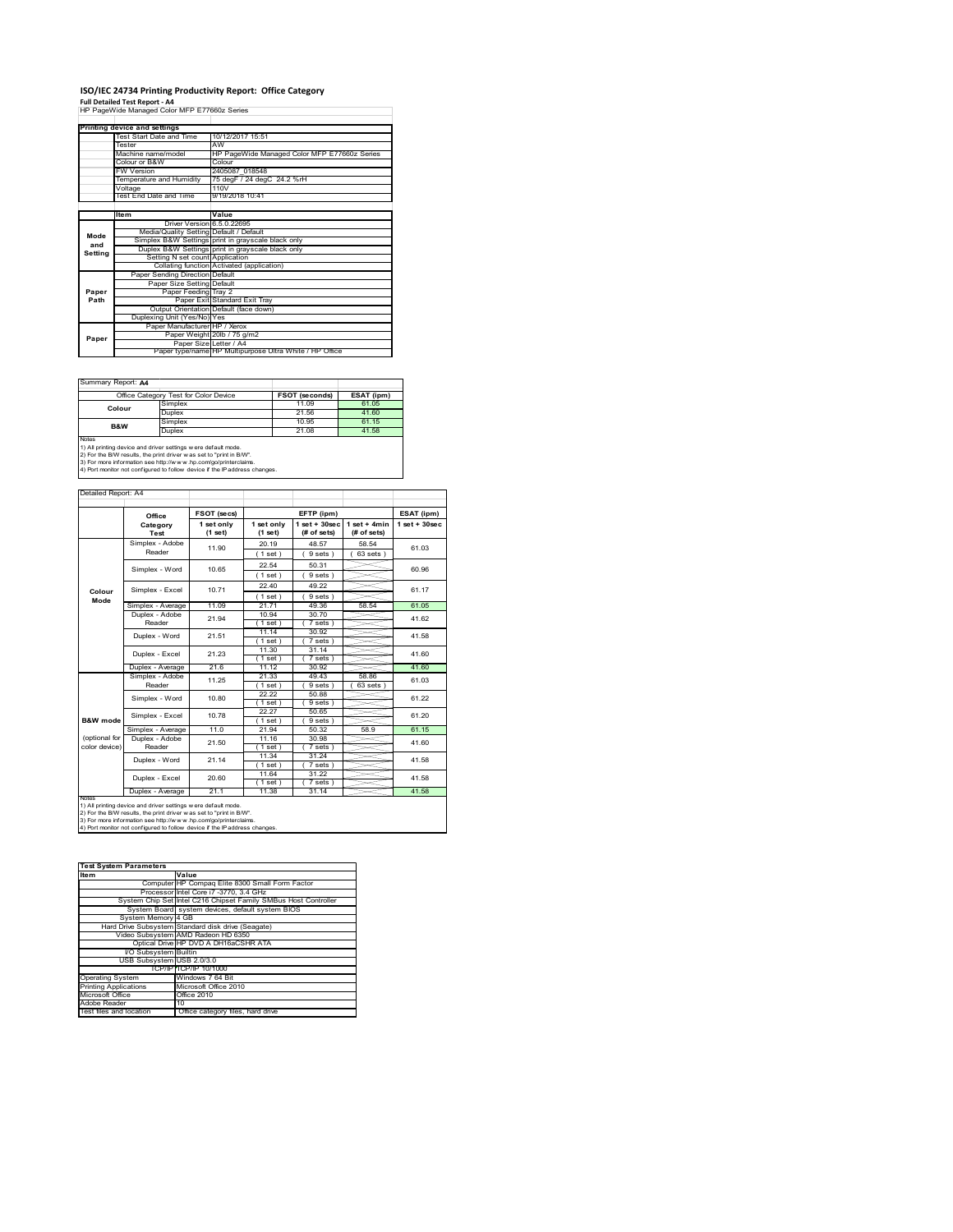### **ISO/IEC 24734 Printing Productivity Report: Office Category**

**Full Detailed Test Report ‐ A4** HP PageWide Managed Color MFP E77660z Series

|         | Printing device and settings            |                                                         |  |
|---------|-----------------------------------------|---------------------------------------------------------|--|
|         | Test Start Date and Time                | 10/12/2017 15:51                                        |  |
|         | Tester                                  | AW                                                      |  |
|         | Machine name/model                      | HP PageWide Managed Color MFP E77660z Series            |  |
|         | Colour or B&W                           | Colour                                                  |  |
|         | <b>FW Version</b>                       | 2405087 018548                                          |  |
|         | Temperature and Humidity                | 75 degF / 24 degC 24.2 %rH                              |  |
|         | Voltage                                 | 110V                                                    |  |
|         | Test End Date and Time                  | 9/19/2018 10:41                                         |  |
|         |                                         |                                                         |  |
|         | Item                                    | Value                                                   |  |
|         | Driver Version 6.5.0.22695              |                                                         |  |
| Mode    | Media/Quality Setting Default / Default |                                                         |  |
| and     |                                         | Simplex B&W Settings print in grayscale black only      |  |
| Setting |                                         | Duplex B&W Settings print in grayscale black only       |  |
|         | Setting N set count Application         |                                                         |  |
|         |                                         | Collating function Activated (application)              |  |
|         | Paper Sending Direction Default         |                                                         |  |
|         | Paper Size Setting Default              |                                                         |  |
| Paper   | Paper Feeding Tray 2                    |                                                         |  |
| Path    |                                         | Paper Exit Standard Exit Tray                           |  |
|         |                                         | Output Orientation Default (face down)                  |  |
|         | Duplexing Unit (Yes/No) Yes             |                                                         |  |
|         | Paper Manufacturer HP / Xerox           |                                                         |  |
| Paper   |                                         | Paper Weight 20lb / 75 g/m2                             |  |
|         | Paper Size Letter / A4                  |                                                         |  |
|         |                                         | Paper type/name HP Multipurpose Ultra White / HP Office |  |

 $\overline{\phantom{a}}$ 

Summary Report: **A4**

| Office Category Test for Color Device                                                                                                          |         | <b>FSOT (seconds)</b> | ESAT (ipm) |  |
|------------------------------------------------------------------------------------------------------------------------------------------------|---------|-----------------------|------------|--|
| Colour                                                                                                                                         | Simplex | 11.09                 | 61.05      |  |
|                                                                                                                                                | Duplex  | 21.56                 | 41.60      |  |
| B&W                                                                                                                                            | Simplex | 10.95                 | 61.15      |  |
|                                                                                                                                                | Duplex  | 21.08                 | 41.58      |  |
| Notes<br>1) All printing device and driver settings w ere default mode.<br>2) For the B/W results, the print driver was set to "print in B/W". |         |                       |            |  |

2) For the B/W results, the print driver w as set to "print in B/W".<br>3) For more information see http://w w w .hp.com/go/printerclaims.<br>4) Port monitor not configured to follow device if the IP address changes.

|                     | Office                                                         | FSOT (secs)           |                       | EFTP (ipm)                       |                               | ESAT (ipm)         |
|---------------------|----------------------------------------------------------------|-----------------------|-----------------------|----------------------------------|-------------------------------|--------------------|
|                     | Category<br>Test                                               | 1 set only<br>(1 set) | 1 set only<br>(1 set) | $1$ set $+30$ sec<br>(# of sets) | $1$ set + 4min<br>(# of sets) | $1$ set + $30$ sec |
|                     | Simplex - Adobe                                                | 11.90                 | 20.19                 | 48.57                            | 58.54                         | 61.03              |
|                     | Reader                                                         |                       | (1 set)               | 9 sets)                          | $63$ sets $)$                 |                    |
|                     | Simplex - Word                                                 | 10.65                 | 22.54                 | 50.31                            |                               | 60.96              |
|                     |                                                                |                       | (1 set)               | 9 sets)                          |                               |                    |
|                     | Simplex - Excel                                                | 10.71                 | 22.40                 | 49.22                            |                               | 61.17              |
| Colour<br>Mode      |                                                                |                       | (1 set)               | 9 sets)                          |                               |                    |
|                     | Simplex - Average                                              | 11.09                 | 21 71                 | 49.36                            | 58.54                         | 61.05              |
|                     | Duplex - Adobe                                                 | 21.94                 | 10.94                 | 30.70                            |                               | 41.62              |
|                     | Reader                                                         |                       | (1 set)               | 7 sets)                          |                               |                    |
|                     | Duplex - Word                                                  | 21.51                 | 11.14                 | 30.92                            |                               | 41.58              |
|                     |                                                                |                       | (1 set)               | 7 sets                           |                               |                    |
|                     | Duplex - Excel                                                 | 21.23                 | 11.30<br>(1 set)      | 31 14<br>7 sets                  |                               | 41.60              |
|                     | Duplex - Average                                               | 21.6                  | 11.12                 | 30.92                            |                               | 41.60              |
|                     | Simplex - Adobe<br>Reader                                      | 11.25                 | 21.33                 | 49.43                            | 58.86                         | 61.03              |
|                     |                                                                |                       | 1 set                 | 9 sets                           | 63 sets                       |                    |
|                     | Simplex - Word                                                 | 10.80                 | 22.22                 | 50.88                            |                               | 61.22              |
|                     |                                                                |                       | (1 set)               | 9 sets                           |                               |                    |
|                     | Simplex - Excel                                                | 10.78                 | 22.27                 | 50.65                            |                               | 61.20              |
| <b>B&amp;W</b> mode |                                                                |                       | (1 set)               | 9 sets)                          |                               |                    |
|                     | Simplex - Average                                              | 11.0                  | 21.94                 | 50.32                            | 58.9                          | 61.15              |
| (optional for       | Duplex - Adobe                                                 | 21.50                 | 11 16                 | 30.98                            |                               | 41.60              |
| color device)       | Reader                                                         |                       | (1 set)               | 7 sets)                          |                               |                    |
|                     | Duplex - Word                                                  | 21.14                 | 11.34<br>(1 set)      | 31.24<br>$7 sets$ )              |                               | 41.58              |
|                     |                                                                |                       | 11.64                 | 31.22                            |                               |                    |
|                     | Duplex - Excel                                                 | 20.60                 | (1 set)               | 7 sets                           |                               | 41.58              |
|                     | Duplex - Average                                               | 21.1                  | 11.38                 | 31.14                            |                               | 41.58              |
| <b>NOTAS</b>        | 1) All printing device and driver settings w ere default mode. |                       |                       |                                  |                               |                    |

| <b>Test System Parameters</b> |                                                                 |  |  |
|-------------------------------|-----------------------------------------------------------------|--|--|
| Item                          | Value                                                           |  |  |
|                               | Computer HP Compaq Elite 8300 Small Form Factor                 |  |  |
|                               | Processor Intel Core i7 -3770, 3.4 GHz                          |  |  |
|                               | System Chip Set Intel C216 Chipset Family SMBus Host Controller |  |  |
|                               | System Board system devices, default system BIOS                |  |  |
| System Memory 4 GB            |                                                                 |  |  |
|                               | Hard Drive Subsystem Standard disk drive (Seagate)              |  |  |
|                               | Video Subsystem AMD Radeon HD 6350                              |  |  |
|                               | Optical Drive HP DVD A DH16aCSHR ATA                            |  |  |
| I/O Subsystem Builtin         |                                                                 |  |  |
| USB Subsystem USB 2.0/3.0     |                                                                 |  |  |
|                               | TCP/IPITCP/IP 10/1000                                           |  |  |
| <b>Operating System</b>       | Windows 7 64 Bit                                                |  |  |
| <b>Printing Applications</b>  | Microsoft Office 2010                                           |  |  |
| Microsoft Office              | Office 2010                                                     |  |  |
| Adobe Reader                  | 10                                                              |  |  |
| Test files and location       | Office category files, hard drive                               |  |  |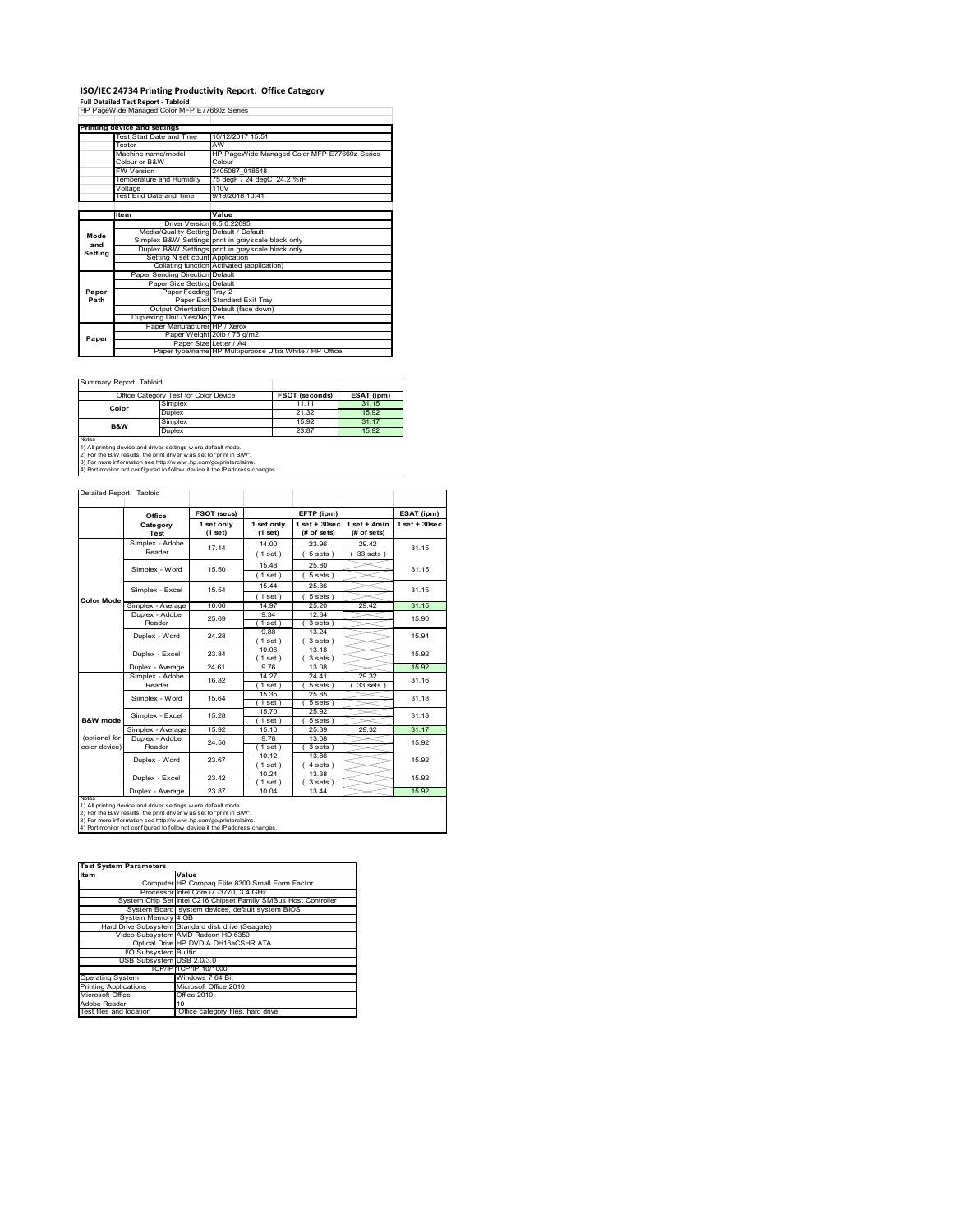# **ISO/IEC 24734 Printing Productivity Report: Office Category Full Detailed Test Report ‐ Tabloid** HP PageWide Managed Color MFP E77660z Series

|         | Printing device and settings            |                                                         |  |  |
|---------|-----------------------------------------|---------------------------------------------------------|--|--|
|         | Test Start Date and Time                | 10/12/2017 15:51                                        |  |  |
|         | Tester                                  | AW                                                      |  |  |
|         | Machine name/model                      | HP PageWide Managed Color MFP E77660z Series            |  |  |
|         | Colour or B&W                           | Colour                                                  |  |  |
|         | <b>FW Version</b>                       | 2405087 018548                                          |  |  |
|         | Temperature and Humidity                | 75 degF / 24 degC 24.2 %rH                              |  |  |
|         | Voltage                                 | 110V                                                    |  |  |
|         | Test End Date and Time                  | 9/19/2018 10:41                                         |  |  |
|         |                                         |                                                         |  |  |
|         | ltem                                    | Value                                                   |  |  |
|         | Driver Version 6.5.0.22695              |                                                         |  |  |
| Mode    | Media/Quality Setting Default / Default |                                                         |  |  |
| and     |                                         | Simplex B&W Settings print in grayscale black only      |  |  |
| Setting |                                         | Duplex B&W Settings print in grayscale black only       |  |  |
|         | Setting N set count Application         |                                                         |  |  |
|         |                                         | Collating function Activated (application)              |  |  |
|         | Paper Sending Direction Default         |                                                         |  |  |
|         | Paper Size Setting Default              |                                                         |  |  |
| Paper   | Paper Feeding Tray 2                    |                                                         |  |  |
| Path    |                                         | Paper Exit Standard Exit Tray                           |  |  |
|         |                                         | Output Orientation Default (face down)                  |  |  |
|         | Duplexing Unit (Yes/No) Yes             |                                                         |  |  |
|         | Paper Manufacturer HP / Xerox           |                                                         |  |  |
| Paper   |                                         | Paper Weight 20lb / 75 g/m2                             |  |  |
|         | Paper Size Letter / A4                  |                                                         |  |  |
|         |                                         | Paper type/name HP Multipurpose Ultra White / HP Office |  |  |

 $\overline{\phantom{a}}$ 

Summary Report: Tabloi

| ------------------------------                                                                                                                        |       |                |  |  |
|-------------------------------------------------------------------------------------------------------------------------------------------------------|-------|----------------|--|--|
| Office Category Test for Color Device                                                                                                                 |       | ESAT (ipm)     |  |  |
| Simplex                                                                                                                                               | 11.11 | 31.15          |  |  |
| Duplex                                                                                                                                                | 21.32 | 15.92          |  |  |
| Simplex                                                                                                                                               | 15.92 | 31 17          |  |  |
| Duplex                                                                                                                                                | 23.87 | 15.92          |  |  |
| <b>Notes</b><br>1) All printing device and driver settings w ere default mode.<br>2) For the B/W results, the print driver was set to "print in B/W". |       |                |  |  |
|                                                                                                                                                       |       | FSOT (seconds) |  |  |

2) For the B/W results, the print driver w as set to "print in B/W".<br>3) For more information see http://w w w .hp.com/go/printerclaims.<br>4) Port monitor not configured to follow device if the IP address changes.

Detailed Report: Tabl

|                                                                                                                                                                                                                                                                                                         | Office            | FSOT (secs)           | EFTP (ipm)            |                                  |                               | ESAT (ipm)         |
|---------------------------------------------------------------------------------------------------------------------------------------------------------------------------------------------------------------------------------------------------------------------------------------------------------|-------------------|-----------------------|-----------------------|----------------------------------|-------------------------------|--------------------|
|                                                                                                                                                                                                                                                                                                         | Category<br>Test  | 1 set only<br>(1 set) | 1 set only<br>(1 set) | $1$ set $+30$ sec<br>(# of sets) | $1$ set + 4min<br>(# of sets) | $1$ set + $30$ sec |
|                                                                                                                                                                                                                                                                                                         | Simplex - Adobe   | 17.14                 | 14.00                 | 23.96                            | 29.42                         | 31 15              |
|                                                                                                                                                                                                                                                                                                         | Reader            |                       | (1 set)               | 5 sets)                          | 33 sets )                     |                    |
|                                                                                                                                                                                                                                                                                                         | Simplex - Word    | 15.50                 | 15.48                 | 25.80                            |                               | 31.15              |
|                                                                                                                                                                                                                                                                                                         |                   |                       | (1 set)               | 5 sets                           |                               |                    |
|                                                                                                                                                                                                                                                                                                         | Simplex - Excel   | 15.54                 | 15.44                 | 25.86                            |                               | 31 15              |
| <b>Color Mode</b>                                                                                                                                                                                                                                                                                       |                   |                       | (1 set)               | 5 sets                           |                               |                    |
|                                                                                                                                                                                                                                                                                                         | Simplex - Average | 16.06                 | 14.97                 | 25.20                            | 29.42                         | 31.15              |
|                                                                                                                                                                                                                                                                                                         | Duplex - Adobe    | 25.69                 | 9.34                  | 1284                             |                               | 15.90              |
|                                                                                                                                                                                                                                                                                                         | Reader            |                       | $1$ set $)$           | 3 sets)                          |                               |                    |
|                                                                                                                                                                                                                                                                                                         | Duplex - Word     | 24 28                 | 9.88                  | 13.24                            |                               | 15.94              |
|                                                                                                                                                                                                                                                                                                         |                   |                       | (1 set)               | 3 sets                           |                               |                    |
|                                                                                                                                                                                                                                                                                                         | Duplex - Excel    | 23.84                 | 10.06                 | 13.18                            |                               | 15.92              |
|                                                                                                                                                                                                                                                                                                         |                   |                       | (1 set)               | 3 sets)                          |                               |                    |
|                                                                                                                                                                                                                                                                                                         | Duplex - Average  | 24.61                 | 9.76                  | 13.08                            |                               | 15.92              |
|                                                                                                                                                                                                                                                                                                         | Simplex - Adobe   | 16.82                 | 14.27                 | 24 41                            | 29.32                         | 31.16              |
|                                                                                                                                                                                                                                                                                                         | Reader            |                       | $1$ set $1$           | 5 sets                           | 33 sets                       |                    |
|                                                                                                                                                                                                                                                                                                         | Simplex - Word    | 15.64                 | 15.35                 | 25.85                            |                               | 31.18<br>31 18     |
|                                                                                                                                                                                                                                                                                                         |                   |                       | (1 set )              | 5 sets 1                         |                               |                    |
|                                                                                                                                                                                                                                                                                                         | Simplex - Excel   | 15 28                 | 15.70                 | 25.92                            |                               |                    |
| B&W mode                                                                                                                                                                                                                                                                                                |                   |                       | (1 set)               | 5 sets)                          |                               |                    |
|                                                                                                                                                                                                                                                                                                         | Simplex - Average | 15.92                 | 15.10                 | 25.39                            | 29.32                         | 31.17              |
| (optional for                                                                                                                                                                                                                                                                                           | Duplex - Adobe    | 24.50                 | 9.78                  | 13.08                            |                               | 15.92              |
| color device)                                                                                                                                                                                                                                                                                           | Reader            |                       | (1 set)               | 3 sets                           |                               |                    |
|                                                                                                                                                                                                                                                                                                         | Duplex - Word     | 23.67                 | 10.12                 | 13.86                            |                               | 15.92              |
|                                                                                                                                                                                                                                                                                                         |                   |                       | (1 set)               | 4 sets)                          |                               |                    |
|                                                                                                                                                                                                                                                                                                         | Duplex - Excel    | 23.42                 | 10.24                 | 13.38                            |                               | 15.92              |
|                                                                                                                                                                                                                                                                                                         |                   |                       | $1$ set)              | 3 sets)                          |                               |                    |
|                                                                                                                                                                                                                                                                                                         | Duplex - Average  | 23.87                 | 10.04                 | 13.44                            |                               | 15.92              |
| <b>NOIRS</b><br>1) All printing device and driver settings w ere default mode.<br>2) For the B/W results, the print driver w as set to "print in B/W".<br>3) For more information see http://www.hp.com/go/printerclaims.<br>4) Port monitor not configured to follow device if the IP address changes. |                   |                       |                       |                                  |                               |                    |

| <b>Test System Parameters</b> |                                                                 |  |  |
|-------------------------------|-----------------------------------------------------------------|--|--|
| <b>Item</b>                   | Value                                                           |  |  |
|                               | Computer HP Compag Elite 8300 Small Form Factor                 |  |  |
|                               | Processor Intel Core i7 -3770, 3.4 GHz                          |  |  |
|                               | System Chip Set Intel C216 Chipset Family SMBus Host Controller |  |  |
|                               | System Board system devices, default system BIOS                |  |  |
| System Memory 4 GB            |                                                                 |  |  |
|                               | Hard Drive Subsystem Standard disk drive (Seagate)              |  |  |
|                               | Video Subsystem AMD Radeon HD 6350                              |  |  |
|                               | Optical Drive HP DVD A DH16aCSHR ATA                            |  |  |
| I/O Subsystem Builtin         |                                                                 |  |  |
| USB Subsystem USB 2.0/3.0     |                                                                 |  |  |
|                               | TCP/IPITCP/IP 10/1000                                           |  |  |
| <b>Operating System</b>       | Windows 7 64 Bit                                                |  |  |
| <b>Printing Applications</b>  | Microsoft Office 2010                                           |  |  |
| Microsoft Office              | Office 2010                                                     |  |  |
| Adobe Reader                  | 10                                                              |  |  |
| Test files and location       | Office category files, hard drive                               |  |  |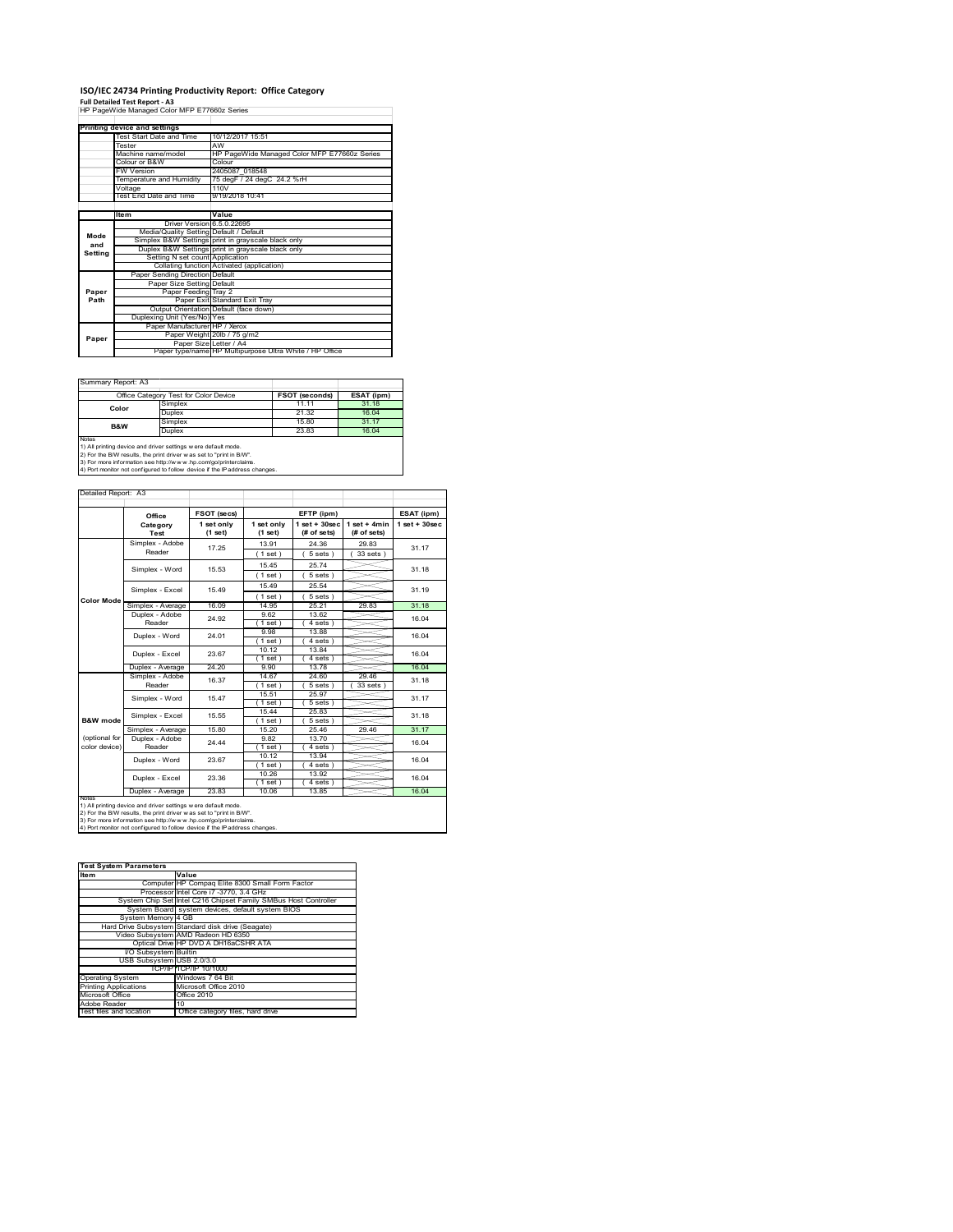## **ISO/IEC 24734 Printing Productivity Report: Office Category**

**Full Detailed Test Report ‐ A3** HP PageWide Managed Color MFP E77660z Series

| . all betailed Test Report - AS<br>HP PageWide Managed Color MFP E77660z Series |                                         |                                                         |  |  |
|---------------------------------------------------------------------------------|-----------------------------------------|---------------------------------------------------------|--|--|
|                                                                                 |                                         |                                                         |  |  |
|                                                                                 |                                         |                                                         |  |  |
|                                                                                 | Printing device and settings            |                                                         |  |  |
|                                                                                 | Test Start Date and Time                | 10/12/2017 15:51                                        |  |  |
|                                                                                 | Tester                                  | AW                                                      |  |  |
|                                                                                 | Machine name/model                      | HP PageWide Managed Color MFP E77660z Series            |  |  |
|                                                                                 | Colour or B&W                           | Colour                                                  |  |  |
|                                                                                 | <b>FW Version</b>                       | 2405087 018548                                          |  |  |
|                                                                                 | Temperature and Humidity                | 75 degF / 24 degC 24.2 %rH                              |  |  |
|                                                                                 | Voltage                                 | 110V                                                    |  |  |
|                                                                                 | Test End Date and Time                  | 9/19/2018 10:41                                         |  |  |
|                                                                                 |                                         |                                                         |  |  |
|                                                                                 | <b>Item</b>                             | Value                                                   |  |  |
|                                                                                 | Driver Version 6.5.0.22695              |                                                         |  |  |
| Mode                                                                            | Media/Quality Setting Default / Default |                                                         |  |  |
| and                                                                             |                                         | Simplex B&W Settings print in grayscale black only      |  |  |
| Setting                                                                         |                                         | Duplex B&W Settings print in grayscale black only       |  |  |
|                                                                                 | Setting N set count Application         |                                                         |  |  |
|                                                                                 |                                         | Collating function Activated (application)              |  |  |
|                                                                                 | Paper Sending Direction Default         |                                                         |  |  |
|                                                                                 | Paper Size Setting Default              |                                                         |  |  |
| Paper                                                                           | Paper Feeding Tray 2                    |                                                         |  |  |
| Path                                                                            |                                         | Paper Exit Standard Exit Tray                           |  |  |
|                                                                                 |                                         | Output Orientation Default (face down)                  |  |  |
|                                                                                 | Duplexing Unit (Yes/No) Yes             |                                                         |  |  |
|                                                                                 | Paper Manufacturer HP / Xerox           |                                                         |  |  |
| Paper                                                                           |                                         | Paper Weight 20lb / 75 g/m2                             |  |  |
|                                                                                 | Paper Size Letter / A4                  |                                                         |  |  |
|                                                                                 |                                         | Paper type/name HP Multipurpose Ultra White / HP Office |  |  |

Summary Report: A3

|                                                                                                                                                       | Office Category Test for Color Device | <b>FSOT (seconds)</b> | ESAT (ipm) |  |  |  |
|-------------------------------------------------------------------------------------------------------------------------------------------------------|---------------------------------------|-----------------------|------------|--|--|--|
| Color                                                                                                                                                 | Simplex                               | 11.11                 | 31.18      |  |  |  |
|                                                                                                                                                       | Duplex                                | 21.32                 | 16.04      |  |  |  |
| <b>B&amp;W</b>                                                                                                                                        | Simplex                               | 15.80                 | 31.17      |  |  |  |
|                                                                                                                                                       | Duplex                                | 23.83                 | 16.04      |  |  |  |
| <b>Notes</b><br>1) All printing device and driver settings w ere default mode.<br>2) For the B/W results, the print driver was set to "print in B/W". |                                       |                       |            |  |  |  |
|                                                                                                                                                       |                                       |                       |            |  |  |  |

| Detailed Report: A3            |                           |                         |                       |                                   |                               |                   |
|--------------------------------|---------------------------|-------------------------|-----------------------|-----------------------------------|-------------------------------|-------------------|
|                                | Office                    | FSOT (secs)             |                       | EFTP (ipm)                        |                               | ESAT (ipm)        |
|                                | Category<br>Test          | 1 set only<br>$(1$ set) | 1 set only<br>(1 set) | $1$ set + $30$ sec<br>(# of sets) | $1$ set + 4min<br>(# of sets) | $1$ set $+30$ sec |
|                                | Simplex - Adobe<br>Reader | 17.25                   | 13.91<br>(1 set)      | 24.36<br>$5 sets$ )               | 29.83<br>33 sets 1            | 31.17             |
|                                | Simplex - Word            | 15.53                   | 15.45<br>(1 set)      | 25.74<br>5 sets)                  |                               | 31.18             |
|                                | Simplex - Excel           | 15 49                   | 15 49<br>(1 set )     | 25.54<br>$5 sets$ )               |                               | 31 19             |
| <b>Color Mode</b>              | Simplex - Average         | 16.09                   | 14 95                 | 25 21                             | 29.83                         | 31.18             |
|                                | Duplex - Adobe<br>Reader  | 24.92                   | 9.62<br>$1$ set $1$   | 13.62<br>4 sets 1                 |                               | 16.04             |
|                                | Duplex - Word             | 24 01                   | 9.98<br>$1$ set)      | 13.88<br>4 sets                   |                               | 16.04             |
|                                | Duplex - Excel            | 23.67                   | 10.12<br>$1$ set $)$  | 13.84<br>4 sets)                  |                               | 16.04             |
|                                | Duplex - Average          | 24.20                   | 9.90                  | 13.78                             |                               | 16.04             |
|                                | Simplex - Adobe<br>Reader | 16.37                   | 14.67<br>(1 set )     | 24.60<br>$5 sets$ )               | 29.46<br>33 sets 1            | 31.18             |
|                                | Simplex - Word            | 15.47                   | 15.51<br>(1 set)      | 25.97<br>5 sets                   |                               | 31.17             |
| B&W mode                       | Simplex - Excel           | 15.55                   | 15.44<br>(1 set )     | 25.83<br>5 sets                   |                               | 31.18             |
|                                | Simplex - Average         | 15.80                   | 15.20                 | 25.46                             | 29.46                         | 31.17             |
| (optional for<br>color device) | Duplex - Adobe<br>Reader  | 24 44                   | 9.82<br>(1 set )      | 13.70<br>4 sets)                  |                               | 16.04             |
|                                | Duplex - Word             | 23.67                   | 10.12<br>(1 set)      | 13.94<br>4 sets)                  |                               | 16.04             |
|                                | Duplex - Excel            | 23.36                   | 10.26<br>(1 set)      | 13.92<br>4 sets)                  |                               | 16.04             |
|                                | Duplex - Average          | 23.83                   | 10.06                 | 13.85                             |                               | 16.04             |

| <b>Test System Parameters</b> |                                                                 |  |  |  |
|-------------------------------|-----------------------------------------------------------------|--|--|--|
| <b>Item</b>                   | Value                                                           |  |  |  |
|                               | Computer HP Compag Elite 8300 Small Form Factor                 |  |  |  |
|                               | Processor Intel Core i7 -3770, 3.4 GHz                          |  |  |  |
|                               | System Chip Set Intel C216 Chipset Family SMBus Host Controller |  |  |  |
|                               | System Board system devices, default system BIOS                |  |  |  |
| System Memory 4 GB            |                                                                 |  |  |  |
|                               | Hard Drive Subsystem Standard disk drive (Seagate)              |  |  |  |
|                               | Video Subsystem AMD Radeon HD 6350                              |  |  |  |
|                               | Optical Drive HP DVD A DH16aCSHR ATA                            |  |  |  |
| I/O Subsystem Builtin         |                                                                 |  |  |  |
| USB Subsystem USB 2.0/3.0     |                                                                 |  |  |  |
|                               | TCP/IP TCP/IP 10/1000                                           |  |  |  |
| <b>Operating System</b>       | Windows 7 64 Bit                                                |  |  |  |
| <b>Printing Applications</b>  | Microsoft Office 2010                                           |  |  |  |
| Microsoft Office              | Office 2010                                                     |  |  |  |
| Adobe Reader                  | 10                                                              |  |  |  |
| Test files and location       | Office category files, hard drive                               |  |  |  |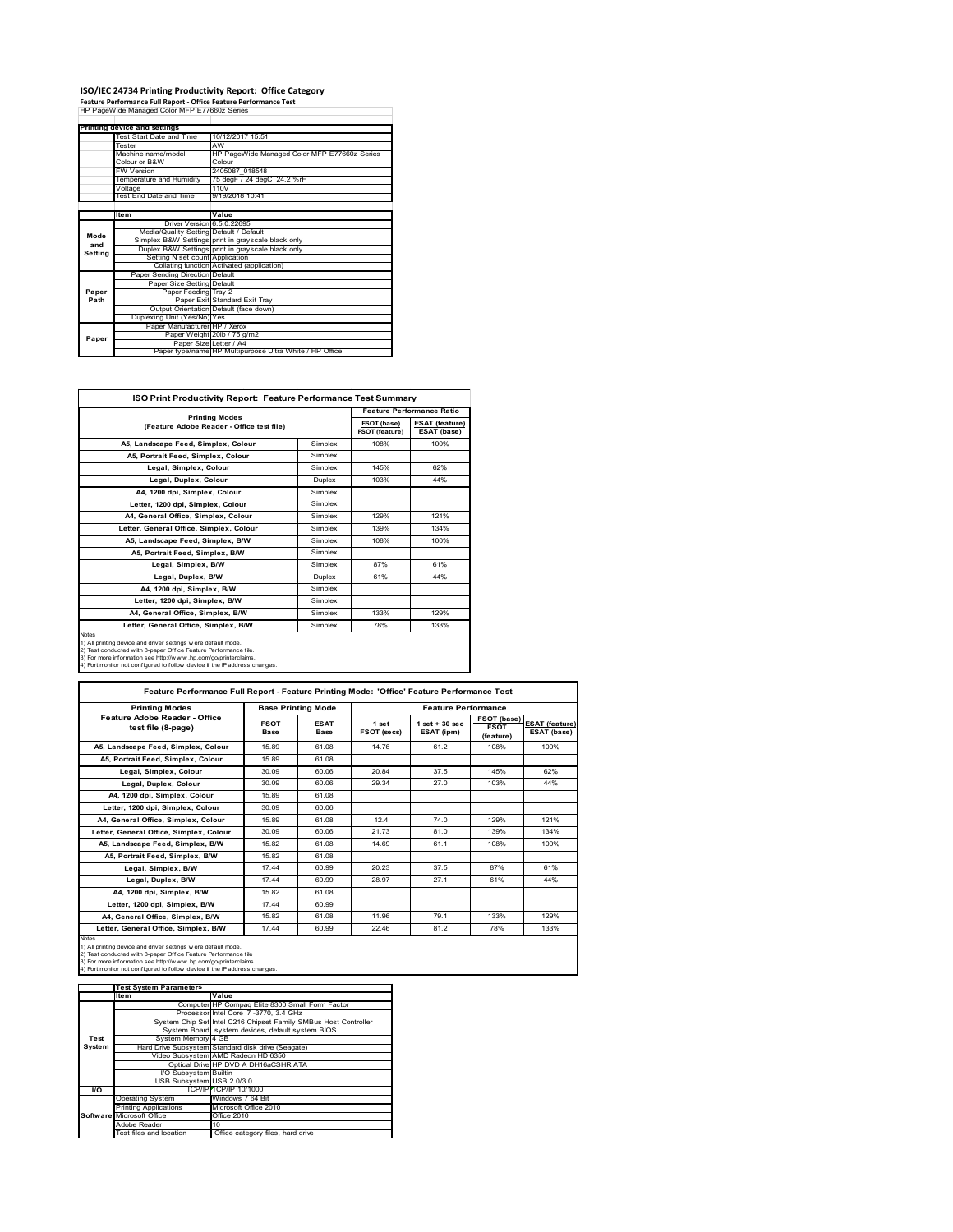#### **ISO/IEC 24734 Printing Productivity Report: Office Category**

**Feature Performance Full Report ‐ Office Feature Performance Test** HP PageWide Managed Color MFP E77660z Series

|         | Printing device and settings            |                                                         |  |  |
|---------|-----------------------------------------|---------------------------------------------------------|--|--|
|         | Test Start Date and Time                | 10/12/2017 15:51                                        |  |  |
|         | Tester                                  | AW                                                      |  |  |
|         | Machine name/model                      | HP PageWide Managed Color MFP E77660z Series            |  |  |
|         | Colour or B&W                           | Colour                                                  |  |  |
|         | <b>FW Version</b>                       | 2405087 018548                                          |  |  |
|         | Temperature and Humidity                | 75 degF / 24 degC 24.2 %rH                              |  |  |
|         | Voltage                                 | 110V                                                    |  |  |
|         | Test End Date and Time                  | 9/19/2018 10:41                                         |  |  |
|         |                                         |                                                         |  |  |
|         | Item                                    | Value                                                   |  |  |
|         | Driver Version 6.5.0.22695              |                                                         |  |  |
| Mode    | Media/Quality Setting Default / Default |                                                         |  |  |
| and     |                                         | Simplex B&W Settings print in grayscale black only      |  |  |
|         |                                         | Duplex B&W Settings print in grayscale black only       |  |  |
| Setting | Setting N set count Application         |                                                         |  |  |
|         |                                         | Collating function Activated (application)              |  |  |
|         | Paper Sending Direction Default         |                                                         |  |  |
|         | Paper Size Setting Default              |                                                         |  |  |
| Paper   | Paper Feeding Tray 2                    |                                                         |  |  |
| Path    |                                         | Paper Exit Standard Exit Tray                           |  |  |
|         |                                         | Output Orientation Default (face down)                  |  |  |
|         | Duplexing Unit (Yes/No) Yes             |                                                         |  |  |
|         | Paper Manufacturer HP / Xerox           |                                                         |  |  |
| Paper   |                                         | Paper Weight 20lb / 75 g/m2                             |  |  |
|         | Paper Size Letter / A4                  |                                                         |  |  |
|         |                                         | Paper type/name HP Multipurpose Ultra White / HP Office |  |  |

 $\mathcal{L} \in \mathcal{L}$  .

| ISO Print Productivity Report: Feature Performance Test Summary                                                                                                                                                                                                                             |                       |                               |                                      |  |  |
|---------------------------------------------------------------------------------------------------------------------------------------------------------------------------------------------------------------------------------------------------------------------------------------------|-----------------------|-------------------------------|--------------------------------------|--|--|
|                                                                                                                                                                                                                                                                                             | <b>Printing Modes</b> |                               | <b>Feature Performance Ratio</b>     |  |  |
| (Feature Adobe Reader - Office test file)                                                                                                                                                                                                                                                   |                       | FSOT (base)<br>FSOT (feature) | <b>ESAT (feature)</b><br>ESAT (base) |  |  |
| A5. Landscape Feed. Simplex. Colour                                                                                                                                                                                                                                                         | Simplex               | 108%                          | 100%                                 |  |  |
| A5. Portrait Feed. Simplex. Colour                                                                                                                                                                                                                                                          | Simplex               |                               |                                      |  |  |
| Legal, Simplex, Colour                                                                                                                                                                                                                                                                      | Simplex               | 145%                          | 62%                                  |  |  |
| Legal, Duplex, Colour                                                                                                                                                                                                                                                                       | <b>Duplex</b>         | 103%                          | 44%                                  |  |  |
| A4, 1200 dpi, Simplex, Colour                                                                                                                                                                                                                                                               | Simplex               |                               |                                      |  |  |
| Letter, 1200 dpi, Simplex, Colour                                                                                                                                                                                                                                                           | Simplex               |                               |                                      |  |  |
| A4, General Office, Simplex, Colour                                                                                                                                                                                                                                                         | Simplex               | 129%                          | 121%                                 |  |  |
| Letter, General Office, Simplex, Colour                                                                                                                                                                                                                                                     | Simplex               | 139%                          | 134%                                 |  |  |
| A5, Landscape Feed, Simplex, B/W                                                                                                                                                                                                                                                            | Simplex               | 108%                          | 100%                                 |  |  |
| A5, Portrait Feed, Simplex, B/W                                                                                                                                                                                                                                                             | Simplex               |                               |                                      |  |  |
| Legal, Simplex, B/W                                                                                                                                                                                                                                                                         | Simplex               | 87%                           | 61%                                  |  |  |
| Legal, Duplex, B/W                                                                                                                                                                                                                                                                          | <b>Duplex</b>         | 61%                           | 44%                                  |  |  |
| A4. 1200 dpi. Simplex. B/W                                                                                                                                                                                                                                                                  | Simplex               |                               |                                      |  |  |
| Letter, 1200 dpi, Simplex, B/W                                                                                                                                                                                                                                                              | Simplex               |                               |                                      |  |  |
| A4, General Office, Simplex, B/W                                                                                                                                                                                                                                                            | Simplex               | 133%                          | 129%                                 |  |  |
| Letter, General Office, Simplex, B/W                                                                                                                                                                                                                                                        | Simplex               | 78%                           | 133%                                 |  |  |
| Notes<br>1) All printing device and driver settings w ere default mode.<br>2) Test conducted with 8-paper Office Feature Performance file.<br>3) For more information see http://www.hp.com/go/printerclaims.<br>4) Port monitor not configured to follow device if the IP address changes. |                       |                               |                                      |  |  |

| <b>Printing Modes</b>                               | <b>Base Printing Mode</b> |                     | <b>Feature Performance</b> |                                  |                                         |                                      |
|-----------------------------------------------------|---------------------------|---------------------|----------------------------|----------------------------------|-----------------------------------------|--------------------------------------|
| Feature Adobe Reader - Office<br>test file (8-page) | <b>FSOT</b><br>Base       | <b>ESAT</b><br>Base | 1 set<br>FSOT (secs)       | $1$ set $+30$ sec.<br>ESAT (ipm) | FSOT (base)<br><b>FSOT</b><br>(feature) | <b>ESAT (feature)</b><br>ESAT (base) |
| A5. Landscape Feed. Simplex. Colour                 | 15.89                     | 61.08               | 14 76                      | 61.2                             | 108%                                    | 100%                                 |
| A5. Portrait Feed. Simplex. Colour                  | 15.89                     | 61.08               |                            |                                  |                                         |                                      |
| Legal, Simplex, Colour                              | 30.09                     | 60.06               | 20.84                      | 37.5                             | 145%                                    | 62%                                  |
| Legal, Duplex, Colour                               | 30.09                     | 60.06               | 29.34                      | 270                              | 103%                                    | 44%                                  |
| A4, 1200 dpi, Simplex, Colour                       | 15.89                     | 61.08               |                            |                                  |                                         |                                      |
| Letter, 1200 dpi. Simplex, Colour                   | 30.09                     | 60.06               |                            |                                  |                                         |                                      |
| A4. General Office. Simplex. Colour                 | 15.89                     | 61.08               | 124                        | 74 0                             | 129%                                    | 121%                                 |
| Letter, General Office, Simplex, Colour             | 30.09                     | 60.06               | 21.73                      | 81.0                             | 139%                                    | 134%                                 |
| A5, Landscape Feed, Simplex, B/W                    | 15.82                     | 61.08               | 14 69                      | 61.1                             | 108%                                    | 100%                                 |
| A5. Portrait Feed. Simplex. B/W                     | 15.82                     | 61.08               |                            |                                  |                                         |                                      |
| Legal, Simplex, B/W                                 | 1744                      | 60.99               | 20.23                      | 37.5                             | 87%                                     | 61%                                  |
| Legal, Duplex, B/W                                  | 1744                      | 60.99               | 28.97                      | 27 1                             | 61%                                     | 44%                                  |
| A4. 1200 dpi. Simplex, B/W                          | 15.82                     | 61.08               |                            |                                  |                                         |                                      |
| Letter, 1200 dpi. Simplex, B/W                      | 1744                      | 60.99               |                            |                                  |                                         |                                      |
| A4. General Office. Simplex. B/W                    | 15.82                     | 61.08               | 11.96                      | 79.1                             | 133%                                    | 129%                                 |
| Letter, General Office, Simplex, B/W                | 17.44                     | 60.99               | 22.46                      | 81.2                             | 78%                                     | 133%                                 |

Notes<br>1) All printing device and driver settings were default mode.<br>2) Test conducted with 8-paper Office Feature Performance file<br>3) For more information see http://www.hp.com/go/printerclaims.<br>4) Por monitor not configur

|           | <b>Test System Parameters</b> |                                                                 |  |  |
|-----------|-------------------------------|-----------------------------------------------------------------|--|--|
|           | <b>Item</b>                   | Value                                                           |  |  |
|           |                               | Computer HP Compaq Elite 8300 Small Form Factor                 |  |  |
|           |                               | Processor Intel Core i7 -3770, 3.4 GHz                          |  |  |
|           |                               | System Chip Set Intel C216 Chipset Family SMBus Host Controller |  |  |
|           |                               | System Board system devices, default system BIOS                |  |  |
| Test      | System Memory 4 GB            |                                                                 |  |  |
| System    |                               | Hard Drive Subsystem Standard disk drive (Seagate)              |  |  |
|           |                               | Video Subsystem AMD Radeon HD 6350                              |  |  |
|           |                               | Optical Drive HP DVD A DH16aCSHR ATA                            |  |  |
|           | I/O Subsystem Builtin         |                                                                 |  |  |
|           | USB Subsystem USB 2.0/3.0     |                                                                 |  |  |
| <b>VO</b> |                               | TCP/IPPTCP/IP 10/1000                                           |  |  |
|           | <b>Operating System</b>       | Windows 7 64 Bit                                                |  |  |
|           | <b>Printing Applications</b>  | Microsoft Office 2010                                           |  |  |
|           | Software Microsoft Office     | Office 2010                                                     |  |  |
|           | Adobe Reader                  | 10                                                              |  |  |
|           | Test files and location       | Office category files, hard drive                               |  |  |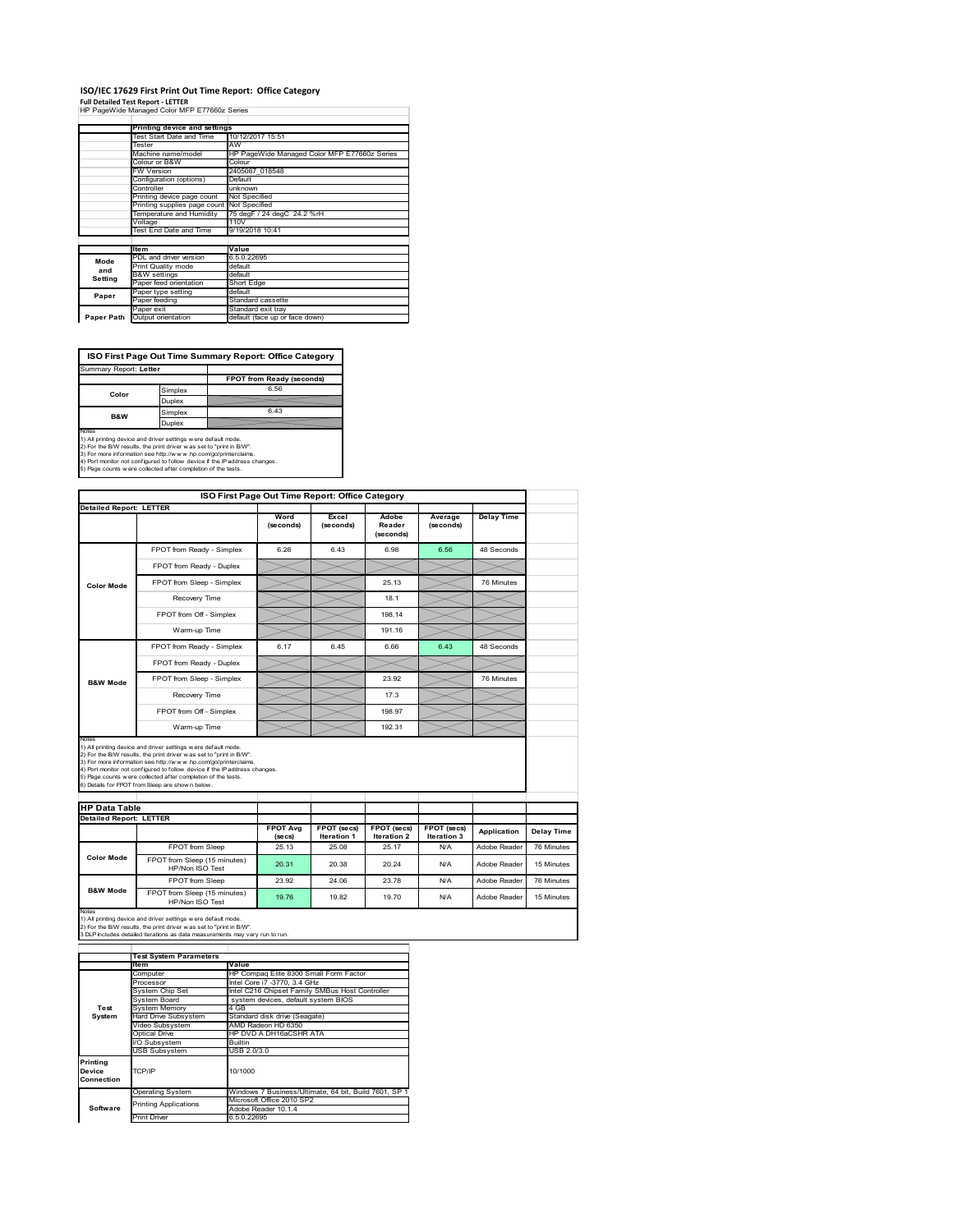# **ISO/IEC 17629 First Print Out Time Report: Office Category**

**Full Detailed Test Report ‐ LETTER** HP PageWide Managed Color MFP E77660z Series

|            | Printing device and settings               |                                              |  |  |  |
|------------|--------------------------------------------|----------------------------------------------|--|--|--|
|            | Test Start Date and Time                   | 10/12/2017 15:51                             |  |  |  |
|            | Tester                                     | AW                                           |  |  |  |
|            | Machine name/model                         | HP PageWide Managed Color MFP E77660z Series |  |  |  |
|            | Colour or B&W                              | Colour                                       |  |  |  |
|            | FW Version                                 | 2405087 018548                               |  |  |  |
|            | Configuration (options)                    | Default                                      |  |  |  |
|            | Controller                                 | unknown                                      |  |  |  |
|            | Printing device page count                 | Not Specified                                |  |  |  |
|            | Printing supplies page count Not Specified |                                              |  |  |  |
|            | Temperature and Humidity                   | 75 degF / 24 degC 24.2 %rH                   |  |  |  |
|            | Voltage                                    | 110V                                         |  |  |  |
|            | Test End Date and Time                     | 9/19/2018 10:41                              |  |  |  |
|            |                                            |                                              |  |  |  |
|            | <b>Item</b>                                | Value                                        |  |  |  |
| Mode       | PDL and driver version                     | 6.5.0.22695                                  |  |  |  |
| and        | Print Quality mode                         | default                                      |  |  |  |
| Setting    | <b>B&amp;W</b> settings                    | default                                      |  |  |  |
|            | Paper feed orientation                     | Short Edge                                   |  |  |  |
| Paper      | Paper type setting                         | default                                      |  |  |  |
|            | Paper feeding                              | Standard cassette                            |  |  |  |
|            | Paper exit                                 | Standard exit tray                           |  |  |  |
| Paper Path | Output orientation                         | default (face up or face down)               |  |  |  |

**ISO First Page Out Time Summary Report: Office Category**

| Summary Report: Letter |         |                           |
|------------------------|---------|---------------------------|
|                        |         | FPOT from Ready (seconds) |
| Color                  | Simplex | 6.56                      |
|                        | Duplex  |                           |
| <b>B&amp;W</b>         | Simplex | 6.43                      |
|                        | Duplex  |                           |
| Notes                  |         |                           |

Notes<br>1) All printing device and driver settings were default mode.<br>2) For the BW results, the print driver was set to "print in BW".<br>3) For more information see http://www.hp.com/golprinterclaims.<br>4) Port montor not confi

|                                |                                                                                                                                                                                                                                                                                                                                                                                                             | ISO First Page Out Time Report: Office Category |                                   |                                   |                            |                   |  |  |
|--------------------------------|-------------------------------------------------------------------------------------------------------------------------------------------------------------------------------------------------------------------------------------------------------------------------------------------------------------------------------------------------------------------------------------------------------------|-------------------------------------------------|-----------------------------------|-----------------------------------|----------------------------|-------------------|--|--|
| <b>Detailed Report: LETTER</b> |                                                                                                                                                                                                                                                                                                                                                                                                             | Word<br>(seconds)                               | Excel<br>(seconds)                | Adobe<br>Reader<br>(seconds)      | Average<br>(seconds)       | <b>Delay Time</b> |  |  |
|                                | FPOT from Ready - Simplex                                                                                                                                                                                                                                                                                                                                                                                   | 6.26                                            | 6.43                              | 6.98                              | 6.56                       | 48 Seconds        |  |  |
|                                | FPOT from Ready - Duplex                                                                                                                                                                                                                                                                                                                                                                                    |                                                 |                                   |                                   |                            |                   |  |  |
| <b>Color Mode</b>              | FPOT from Sleep - Simplex                                                                                                                                                                                                                                                                                                                                                                                   |                                                 |                                   | 25.13                             |                            | 76 Minutes        |  |  |
|                                | Recovery Time                                                                                                                                                                                                                                                                                                                                                                                               |                                                 |                                   | 18.1                              |                            |                   |  |  |
|                                | FPOT from Off - Simplex                                                                                                                                                                                                                                                                                                                                                                                     |                                                 |                                   | 198 14                            |                            |                   |  |  |
|                                | Warm-up Time                                                                                                                                                                                                                                                                                                                                                                                                |                                                 |                                   | 191.16                            |                            |                   |  |  |
|                                | FPOT from Ready - Simplex                                                                                                                                                                                                                                                                                                                                                                                   | 6.17                                            | 6.45                              | 6.66                              | 6.43                       | 48 Seconds        |  |  |
|                                | FPOT from Ready - Duplex                                                                                                                                                                                                                                                                                                                                                                                    |                                                 |                                   |                                   |                            |                   |  |  |
| <b>B&amp;W Mode</b>            | FPOT from Sleep - Simplex                                                                                                                                                                                                                                                                                                                                                                                   |                                                 |                                   | 23.92                             |                            | 76 Minutes        |  |  |
|                                |                                                                                                                                                                                                                                                                                                                                                                                                             |                                                 |                                   |                                   |                            |                   |  |  |
|                                | Recovery Time                                                                                                                                                                                                                                                                                                                                                                                               |                                                 |                                   | 17.3                              |                            |                   |  |  |
|                                | FPOT from Off - Simplex                                                                                                                                                                                                                                                                                                                                                                                     |                                                 |                                   | 198.97                            |                            |                   |  |  |
| Notes                          | Warm-up Time                                                                                                                                                                                                                                                                                                                                                                                                |                                                 |                                   | 192.31                            |                            |                   |  |  |
| <b>HP Data Table</b>           | 1) All printing device and driver settings w ere default mode.<br>2) For the B/W results, the print driver was set to "print in B/W".<br>3) For more information see http://www.hp.com/go/printerclaims.<br>4) Port monitor not configured to follow device if the IP address changes.<br>5) Page counts w ere collected after completion of the tests.<br>6) Details for FPOT from Sleep are show n below. |                                                 |                                   |                                   |                            |                   |  |  |
|                                |                                                                                                                                                                                                                                                                                                                                                                                                             |                                                 |                                   |                                   |                            |                   |  |  |
| <b>Detailed Report: LETTER</b> |                                                                                                                                                                                                                                                                                                                                                                                                             | <b>FPOT Avg</b><br>(se cs)                      | FPOT (secs)<br><b>Iteration 1</b> | FPOT (secs)<br><b>Iteration 2</b> | FPOT (secs)<br>Iteration 3 | Application       |  |  |
|                                | FPOT from Sleep                                                                                                                                                                                                                                                                                                                                                                                             | 25 13                                           | 25.08                             | 25 17                             | N/A                        | Adobe Reader      |  |  |
| <b>Color Mode</b>              | FPOT from Sleep (15 minutes)<br>HP/Non ISO Test                                                                                                                                                                                                                                                                                                                                                             | 20.31                                           | 20.38                             | 20.24                             | N/A                        | Adobe Reader      |  |  |
| <b>B&amp;W Mode</b>            | FPOT from Sleep                                                                                                                                                                                                                                                                                                                                                                                             | 23.92                                           | 24.06                             | 23.78                             | N/A                        | Adobe Reader      |  |  |

Notes<br>1) All printing device and driver settings w ere default mode.<br>2) For the B/W results, the print driver w as set to "print in B/W".<br>3 DLP includes detailed iterations as data measurements may vary run to run.

|            | <b>Test System Parameters</b> |                                                       |  |  |
|------------|-------------------------------|-------------------------------------------------------|--|--|
|            | <b>Item</b>                   | Value                                                 |  |  |
|            | Computer                      | HP Compaq Elite 8300 Small Form Factor                |  |  |
|            | Processor                     | Intel Core i7 -3770, 3.4 GHz                          |  |  |
|            | System Chip Set               | Intel C216 Chipset Family SMBus Host Controller       |  |  |
|            | System Board                  | system devices, default system BIOS                   |  |  |
| Test       | <b>System Memory</b>          | 4 GB                                                  |  |  |
| System     | Hard Drive Subsystem          | Standard disk drive (Seagate)                         |  |  |
|            | Video Subsystem               | AMD Radeon HD 6350                                    |  |  |
|            | Optical Drive                 | HP DVD A DH16aCSHR ATA                                |  |  |
|            | I/O Subsystem                 | <b>Builtin</b>                                        |  |  |
|            | <b>USB Subsystem</b>          | USB 2.0/3.0                                           |  |  |
| Printing   |                               |                                                       |  |  |
| Device     | TCP/IP                        | 10/1000                                               |  |  |
| Connection |                               |                                                       |  |  |
|            | <b>Operating System</b>       | Windows 7 Business/Ultimate, 64 bit, Build 7601, SP 1 |  |  |
|            | <b>Printing Applications</b>  | Microsoft Office 2010 SP2                             |  |  |
| Software   |                               | Adobe Reader 10.1.4                                   |  |  |
|            | <b>Print Driver</b>           | 6.5.0.22695                                           |  |  |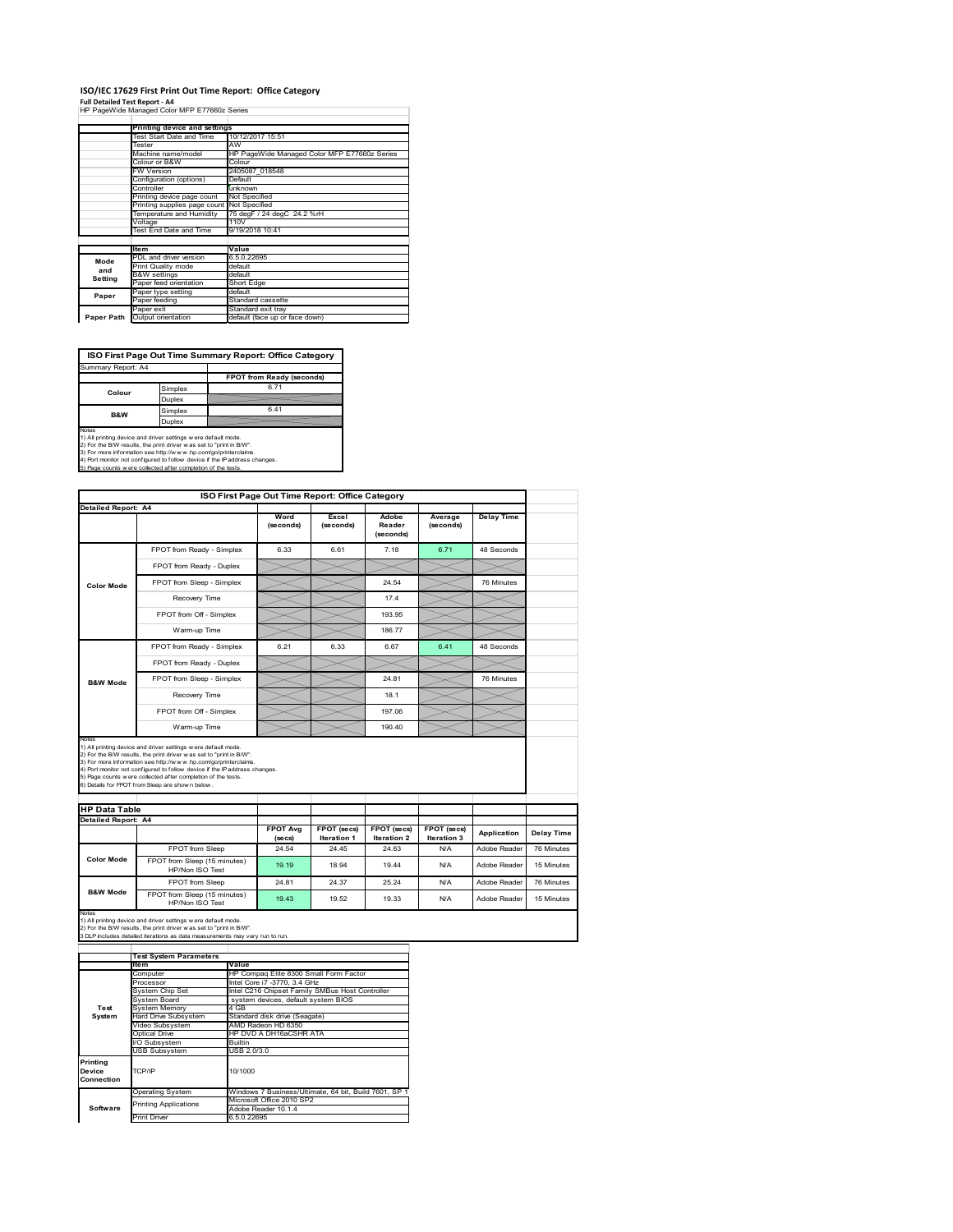## **ISO/IEC 17629 First Print Out Time Report: Office Category**

**Full Detailed Test Report ‐ A4** HP PageWide Managed Color MFP E77660z Series

|            | Printing device and settings               |                                              |
|------------|--------------------------------------------|----------------------------------------------|
|            | Test Start Date and Time                   | 10/12/2017 15:51                             |
|            | Tester                                     | AW                                           |
|            | Machine name/model                         | HP PageWide Managed Color MFP E77660z Series |
|            | Colour or B&W                              | Colour                                       |
|            | FW Version                                 | 2405087 018548                               |
|            | Configuration (options)                    | Default                                      |
|            | Controller                                 | unknown                                      |
|            | Printing device page count                 | Not Specified                                |
|            | Printing supplies page count Not Specified |                                              |
|            | Temperature and Humidity                   | 75 degF / 24 degC 24.2 %rH                   |
|            | Voltage                                    | 110V                                         |
|            | Test End Date and Time                     | 9/19/2018 10:41                              |
|            |                                            |                                              |
|            | <b>Item</b>                                | Value                                        |
| Mode       | PDL and driver version                     | 6.5.0.22695                                  |
| and        | Print Quality mode                         | default                                      |
| Setting    | <b>B&amp;W</b> settings                    | default                                      |
|            | Paper feed orientation                     | Short Edge                                   |
| Paper      | Paper type setting                         | default                                      |
|            | Paper feeding                              | Standard cassette                            |
|            | Paper exit                                 | Standard exit tray                           |
| Paper Path | Output orientation                         | default (face up or face down)               |

**ISO First Page Out Time Summary Report: Office Category**

| Summary Report: A4 |         |                           |
|--------------------|---------|---------------------------|
|                    |         | FPOT from Ready (seconds) |
| Colour             | Simplex | 671                       |
|                    | Duplex  |                           |
| <b>B&amp;W</b>     | Simplex | 6.41                      |
|                    | Duplex  |                           |
| $k = 1 - 1$        |         |                           |

Notes<br>1) All printing device and driver settings were default mode.<br>2) For the BAV results, the print driver was set to "print in BAV".<br>3) For more information see http://www.hp.com/golprinterclaims.<br>4) Port monitor not co

|                                                      |                                                                                                                                                                                                                                                                                                                                                                                                             | ISO First Page Out Time Report: Office Category |                                   |                                          |                                   |                   |
|------------------------------------------------------|-------------------------------------------------------------------------------------------------------------------------------------------------------------------------------------------------------------------------------------------------------------------------------------------------------------------------------------------------------------------------------------------------------------|-------------------------------------------------|-----------------------------------|------------------------------------------|-----------------------------------|-------------------|
| Detailed Report: A4                                  |                                                                                                                                                                                                                                                                                                                                                                                                             | Word<br>(seconds)                               | Excel<br>(seconds)                | Adobe<br>Reader<br>(seconds)             | Average<br>(seconds)              | <b>Delay Time</b> |
|                                                      | FPOT from Ready - Simplex                                                                                                                                                                                                                                                                                                                                                                                   | 6.33                                            | 6.61                              | 7.18                                     | 6.71                              | 48 Seconds        |
|                                                      | FPOT from Ready - Duplex                                                                                                                                                                                                                                                                                                                                                                                    |                                                 |                                   |                                          |                                   |                   |
| <b>Color Mode</b>                                    | FPOT from Sleep - Simplex                                                                                                                                                                                                                                                                                                                                                                                   |                                                 |                                   | 24.54                                    |                                   | 76 Minutes        |
|                                                      | Recovery Time                                                                                                                                                                                                                                                                                                                                                                                               |                                                 |                                   | 174                                      |                                   |                   |
|                                                      | FPOT from Off - Simplex                                                                                                                                                                                                                                                                                                                                                                                     |                                                 |                                   | 193.95                                   |                                   |                   |
|                                                      | Warm-up Time                                                                                                                                                                                                                                                                                                                                                                                                |                                                 |                                   | 186.77                                   |                                   |                   |
|                                                      | FPOT from Ready - Simplex                                                                                                                                                                                                                                                                                                                                                                                   | 6.21                                            | 6.33                              | 6.67                                     | 6.41                              | 48 Seconds        |
|                                                      | FPOT from Ready - Duplex                                                                                                                                                                                                                                                                                                                                                                                    |                                                 |                                   |                                          |                                   |                   |
| <b>B&amp;W Mode</b>                                  | FPOT from Sleep - Simplex                                                                                                                                                                                                                                                                                                                                                                                   |                                                 |                                   | 24.81                                    |                                   | 76 Minutes        |
|                                                      | Recovery Time                                                                                                                                                                                                                                                                                                                                                                                               |                                                 |                                   | 18.1                                     |                                   |                   |
|                                                      |                                                                                                                                                                                                                                                                                                                                                                                                             |                                                 |                                   |                                          |                                   |                   |
|                                                      | FPOT from Off - Simplex                                                                                                                                                                                                                                                                                                                                                                                     |                                                 |                                   | 197.06                                   |                                   |                   |
|                                                      | Warm-up Time                                                                                                                                                                                                                                                                                                                                                                                                |                                                 |                                   | 190.40                                   |                                   |                   |
| Notes<br><b>HP Data Table</b><br>Detailed Report: A4 | 1) All printing device and driver settings w ere default mode.<br>2) For the B/W results, the print driver was set to "print in B/W".<br>3) For more information see http://www.hp.com/go/printerclaims.<br>4) Port monitor not configured to follow device if the IP address changes.<br>5) Page counts w ere collected after completion of the tests.<br>6) Details for FPOT from Sleep are show n below. |                                                 |                                   |                                          |                                   |                   |
|                                                      |                                                                                                                                                                                                                                                                                                                                                                                                             | <b>FPOT Ava</b><br>(se cs)                      | FPOT (secs)<br><b>Iteration 1</b> | <b>FPOT</b> (secs)<br><b>Iteration 2</b> | FPOT (secs)<br><b>Iteration 3</b> | Application       |
|                                                      | FPOT from Sleep                                                                                                                                                                                                                                                                                                                                                                                             | 24.54                                           | 24.45                             | 24.63                                    | N/A                               | Adobe Reader      |
| <b>Color Mode</b>                                    | FPOT from Sleep (15 minutes)<br>HP/Non ISO Test                                                                                                                                                                                                                                                                                                                                                             | 19.19                                           | 18.94                             | 19.44                                    | N/A                               | Adobe Reader      |
| <b>B&amp;W Mode</b>                                  | FPOT from Sleep                                                                                                                                                                                                                                                                                                                                                                                             | 24.81                                           | 24.37                             | 25.24                                    | N/A                               | Adobe Reader      |

|                                  | <b>Test System Parameters</b> |                                                       |  |  |
|----------------------------------|-------------------------------|-------------------------------------------------------|--|--|
|                                  | Item                          | Value                                                 |  |  |
|                                  | Computer                      | HP Compag Elite 8300 Small Form Factor                |  |  |
|                                  | Processor                     | Intel Core i7 -3770, 3.4 GHz                          |  |  |
|                                  | System Chip Set               | Intel C216 Chipset Family SMBus Host Controller       |  |  |
|                                  | System Board                  | system devices, default system BIOS                   |  |  |
| Test                             | <b>System Memory</b>          | 4 GB                                                  |  |  |
| System                           | Hard Drive Subsystem          | Standard disk drive (Seagate)                         |  |  |
|                                  | Video Subsystem               | AMD Radeon HD 6350                                    |  |  |
|                                  | Optical Drive                 | HP DVD A DH16aCSHR ATA                                |  |  |
|                                  | I/O Subsystem                 | <b>Builtin</b>                                        |  |  |
|                                  | <b>USB Subsystem</b>          | USB 2.0/3.0                                           |  |  |
| Printing<br>Device<br>Connection | TCP/IP                        | 10/1000                                               |  |  |
|                                  | <b>Operating System</b>       | Windows 7 Business/Ultimate, 64 bit, Build 7601, SP 1 |  |  |
|                                  | <b>Printing Applications</b>  | Microsoft Office 2010 SP2                             |  |  |
| Software                         |                               | Adobe Reader 10.1.4                                   |  |  |
|                                  | <b>Print Driver</b>           | 6.5.0.22695                                           |  |  |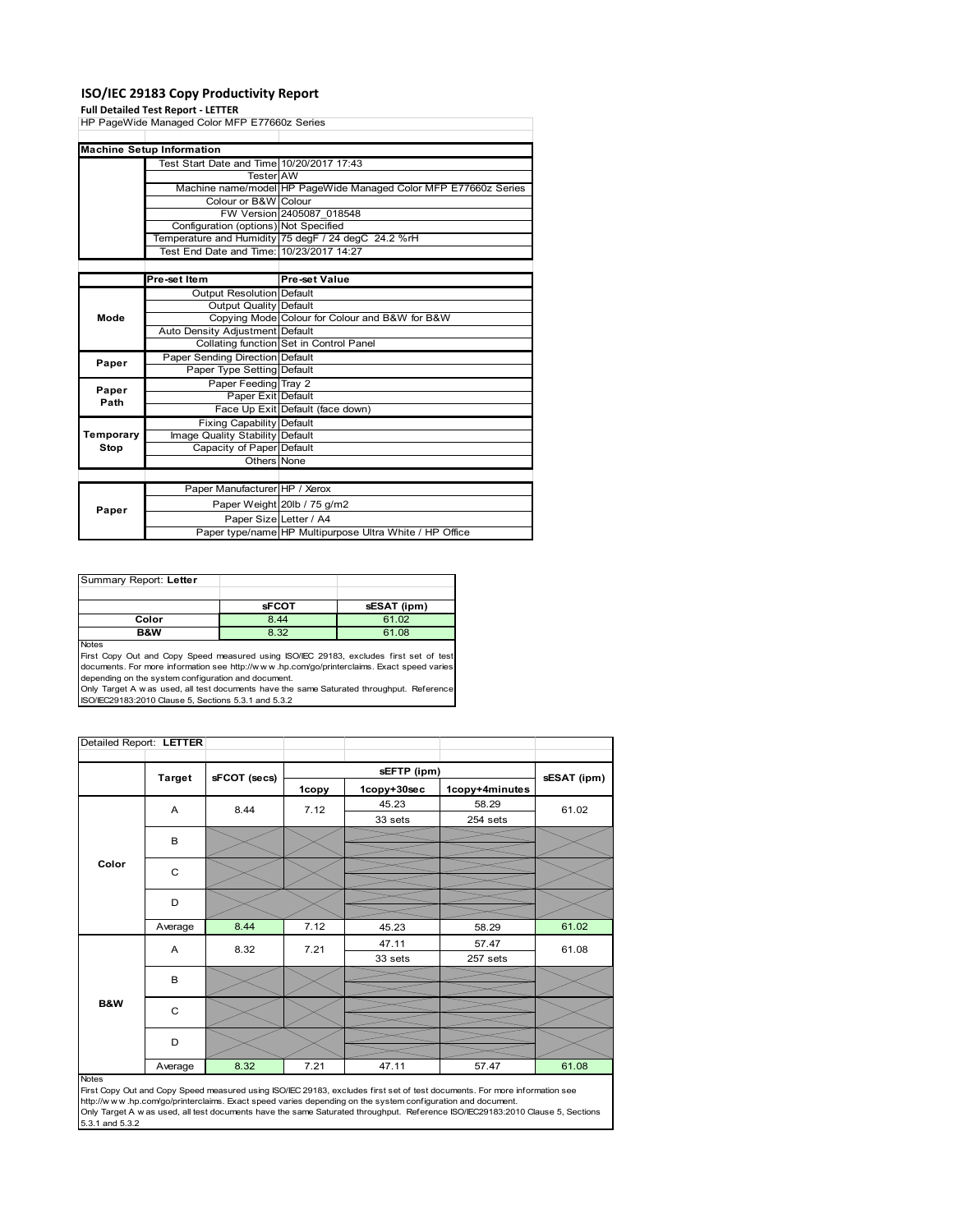## **ISO/IEC 29183 Copy Productivity Report**

#### **Full Detailed Test Report ‐ LETTER**

| HP PageWide Managed Color MFP E77660z Series |                                           |                                                                 |  |
|----------------------------------------------|-------------------------------------------|-----------------------------------------------------------------|--|
|                                              |                                           |                                                                 |  |
|                                              | <b>Machine Setup Information</b>          |                                                                 |  |
|                                              | Test Start Date and Time 10/20/2017 17:43 |                                                                 |  |
|                                              |                                           |                                                                 |  |
|                                              | <b>Tester AW</b>                          |                                                                 |  |
|                                              |                                           | Machine name/model HP PageWide Managed Color MFP E77660z Series |  |
|                                              | Colour or B&W Colour                      |                                                                 |  |
|                                              |                                           | FW Version 2405087 018548                                       |  |
|                                              | Configuration (options) Not Specified     |                                                                 |  |
|                                              |                                           | Temperature and Humidity 75 degF / 24 degC 24.2 %rH             |  |
|                                              | Test End Date and Time: 10/23/2017 14:27  |                                                                 |  |
|                                              |                                           |                                                                 |  |
|                                              | Pre-set Item                              | Pre-set Value                                                   |  |
|                                              | <b>Output Resolution Default</b>          |                                                                 |  |
|                                              | Output Quality Default                    |                                                                 |  |
| Mode                                         |                                           | Copying Mode Colour for Colour and B&W for B&W                  |  |
|                                              | Auto Density Adjustment Default           |                                                                 |  |
|                                              |                                           | Collating function Set in Control Panel                         |  |
| Paper                                        | Paper Sending Direction Default           |                                                                 |  |
|                                              | Paper Type Setting Default                |                                                                 |  |
| Paper                                        | Paper Feeding Tray 2                      |                                                                 |  |
| Path                                         | Paper Exit Default                        |                                                                 |  |
|                                              |                                           | Face Up Exit Default (face down)                                |  |
|                                              | <b>Fixing Capability Default</b>          |                                                                 |  |
| Temporary                                    | Image Quality Stability Default           |                                                                 |  |
| Stop                                         | Capacity of Paper Default                 |                                                                 |  |
|                                              | Others None                               |                                                                 |  |
|                                              |                                           |                                                                 |  |
|                                              | Paper Manufacturer HP / Xerox             |                                                                 |  |
|                                              |                                           | Paper Weight 20lb / 75 g/m2                                     |  |
| Paper                                        | Paper Size Letter / A4                    |                                                                 |  |
|                                              |                                           | Paper type/name HP Multipurpose Ultra White / HP Office         |  |

| Summary Report: Letter |              |             |
|------------------------|--------------|-------------|
|                        |              |             |
|                        | <b>sFCOT</b> | sESAT (ipm) |
| Color                  | 8.44         | 61.02       |
| B&W                    | 8.32         | 61.08       |
| <b>Nickon</b>          |              |             |

Notes<br>First Copy Out and Copy Speed measured using ISO/IEC 29183, excludes first set of test<br>documents. For more information see http://www..hp.com/go/printerclaims. Exact speed varies

depending on the system configuration and document.<br>Only Target A w as used, all test documents have the same Saturated throughput. Reference<br>ISO/IEC29183:2010 Clause 5, Sections 5.3.1 and 5.3.2

| Detailed Report: LETTER |               |              |       |             |                |             |
|-------------------------|---------------|--------------|-------|-------------|----------------|-------------|
|                         |               |              |       | sEFTP (ipm) |                |             |
|                         | <b>Target</b> | sFCOT (secs) | 1copy | 1copy+30sec | 1copy+4minutes | sESAT (ipm) |
|                         | A             | 8.44         | 7.12  | 45.23       | 58.29          | 61.02       |
|                         |               |              |       | 33 sets     | 254 sets       |             |
|                         | В             |              |       |             |                |             |
|                         |               |              |       |             |                |             |
| Color                   | C             |              |       |             |                |             |
|                         |               |              |       |             |                |             |
|                         | D             |              |       |             |                |             |
|                         | Average       | 8.44         | 7.12  | 45.23       |                | 61.02       |
|                         |               |              |       |             | 58.29          |             |
|                         | Α             | 8.32         | 7.21  | 47.11       | 57.47          | 61.08       |
|                         |               |              |       | 33 sets     | 257 sets       |             |
|                         | B             |              |       |             |                |             |
|                         |               |              |       |             |                |             |
| B&W                     | C             |              |       |             |                |             |
|                         |               |              |       |             |                |             |
|                         | D             |              |       |             |                |             |
|                         |               |              |       |             |                |             |
|                         | Average       | 8.32         | 7.21  | 47.11       | 57.47          | 61.08       |

#### Notes

First Copy Out and Copy Speed measured using ISO/IEC 29183, excludes first set of test documents. For more information see<br>http://w w w.hp.com/go/printerclaims. Exact speed varies depending on the system configuration and 5.3.1 and 5.3.2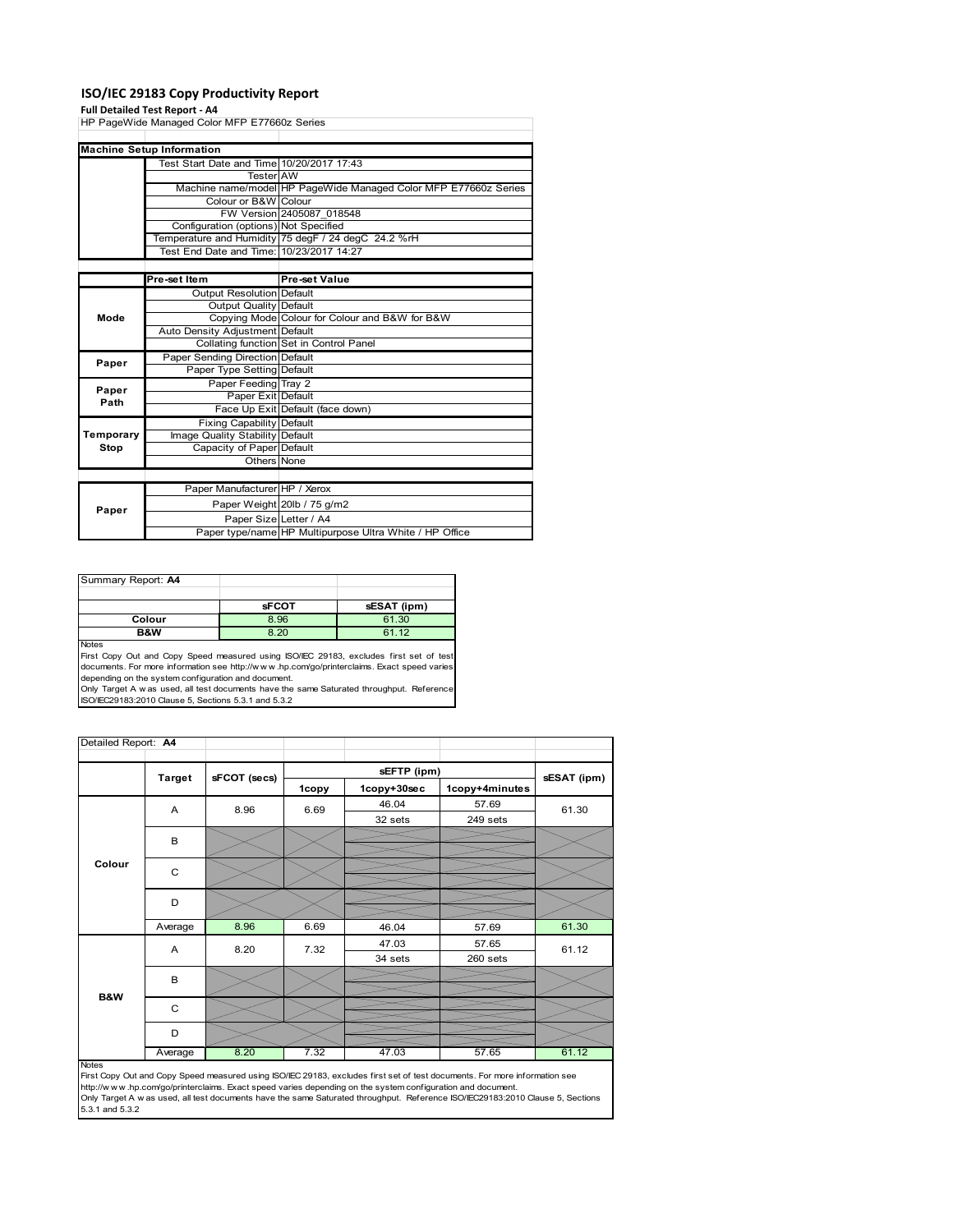## **ISO/IEC 29183 Copy Productivity Report**

#### **Full Detailed Test Report ‐ A4**

|           | run betanca rest Report - A+                 |                                                                 |
|-----------|----------------------------------------------|-----------------------------------------------------------------|
|           | HP PageWide Managed Color MFP E77660z Series |                                                                 |
|           |                                              |                                                                 |
|           | <b>Machine Setup Information</b>             |                                                                 |
|           | Test Start Date and Time 10/20/2017 17:43    |                                                                 |
|           | <b>Tester</b> AW                             |                                                                 |
|           |                                              | Machine name/model HP PageWide Managed Color MFP E77660z Series |
|           | Colour or B&W Colour                         |                                                                 |
|           |                                              | FW Version 2405087 018548                                       |
|           | Configuration (options) Not Specified        |                                                                 |
|           |                                              | Temperature and Humidity 75 degF / 24 degC 24.2 %rH             |
|           | Test End Date and Time: 10/23/2017 14:27     |                                                                 |
|           |                                              |                                                                 |
|           | Pre-set Item                                 | Pre-set Value                                                   |
|           | <b>Output Resolution Default</b>             |                                                                 |
|           | Output Quality Default                       |                                                                 |
| Mode      |                                              | Copying Mode Colour for Colour and B&W for B&W                  |
|           | Auto Density Adjustment Default              |                                                                 |
|           |                                              | Collating function Set in Control Panel                         |
| Paper     | Paper Sending Direction Default              |                                                                 |
|           | Paper Type Setting Default                   |                                                                 |
| Paper     | Paper Feeding Tray 2                         |                                                                 |
| Path      | Paper Exit Default                           |                                                                 |
|           |                                              | Face Up Exit Default (face down)                                |
|           | <b>Fixing Capability Default</b>             |                                                                 |
| Temporary | Image Quality Stability Default              |                                                                 |
| Stop      | Capacity of Paper Default                    |                                                                 |
|           | Others None                                  |                                                                 |
|           |                                              |                                                                 |
|           | Paper Manufacturer HP / Xerox                |                                                                 |
|           |                                              | Paper Weight 20lb / 75 g/m2                                     |
| Paper     | Paper Size Letter / A4                       |                                                                 |
|           |                                              | Paper type/name HP Multipurpose Ultra White / HP Office         |

| Summary Report: A4 |              |             |
|--------------------|--------------|-------------|
|                    |              |             |
|                    | <b>sFCOT</b> | sESAT (ipm) |
| Colour             | 8.96         | 61.30       |
| B&W                | 8.20         | 61.12       |
| <b>Nickon</b>      |              |             |

Notes<br>First Copy Out and Copy Speed measured using ISO/IEC 29183, excludes first set of test<br>documents. For more information see http://www..hp.com/go/printerclaims. Exact speed varies

depending on the system configuration and document.<br>Only Target A w as used, all test documents have the same Saturated throughput. Reference<br>ISO/IEC29183:2010 Clause 5, Sections 5.3.1 and 5.3.2

| Detailed Report: A4 |               |              |       |             |                |             |
|---------------------|---------------|--------------|-------|-------------|----------------|-------------|
|                     |               |              |       | sEFTP (ipm) |                |             |
|                     | <b>Target</b> | sFCOT (secs) | 1copy | 1copy+30sec | 1copy+4minutes | sESAT (ipm) |
|                     | A             | 8.96         | 6.69  | 46.04       | 57.69          | 61.30       |
|                     |               |              |       | 32 sets     | 249 sets       |             |
|                     | B             |              |       |             |                |             |
|                     |               |              |       |             |                |             |
| Colour              | C             |              |       |             |                |             |
|                     |               |              |       |             |                |             |
|                     | D             |              |       |             |                |             |
|                     |               |              |       |             |                |             |
|                     | Average       | 8.96         | 6.69  | 46.04       | 57.69          | 61.30       |
|                     | A             | 8.20         | 7.32  | 47.03       | 57.65          | 61.12       |
|                     |               |              |       | 34 sets     | 260 sets       |             |
|                     | B             |              |       |             |                |             |
| <b>B&amp;W</b>      |               |              |       |             |                |             |
|                     | C             |              |       |             |                |             |
|                     |               |              |       |             |                |             |
|                     | D             |              |       |             |                |             |
|                     | Average       | 8.20         | 7.32  | 47.03       | 57.65          | 61.12       |

Average 8.20 7.32 47.03 57.65 61.12<br>
First Copy Out and Copy Speed measured using ISO/IEC 29183, excludes first set of test documents. For more information see<br>
First://www.hp.com/go/printerclaims. Exact speed varies depen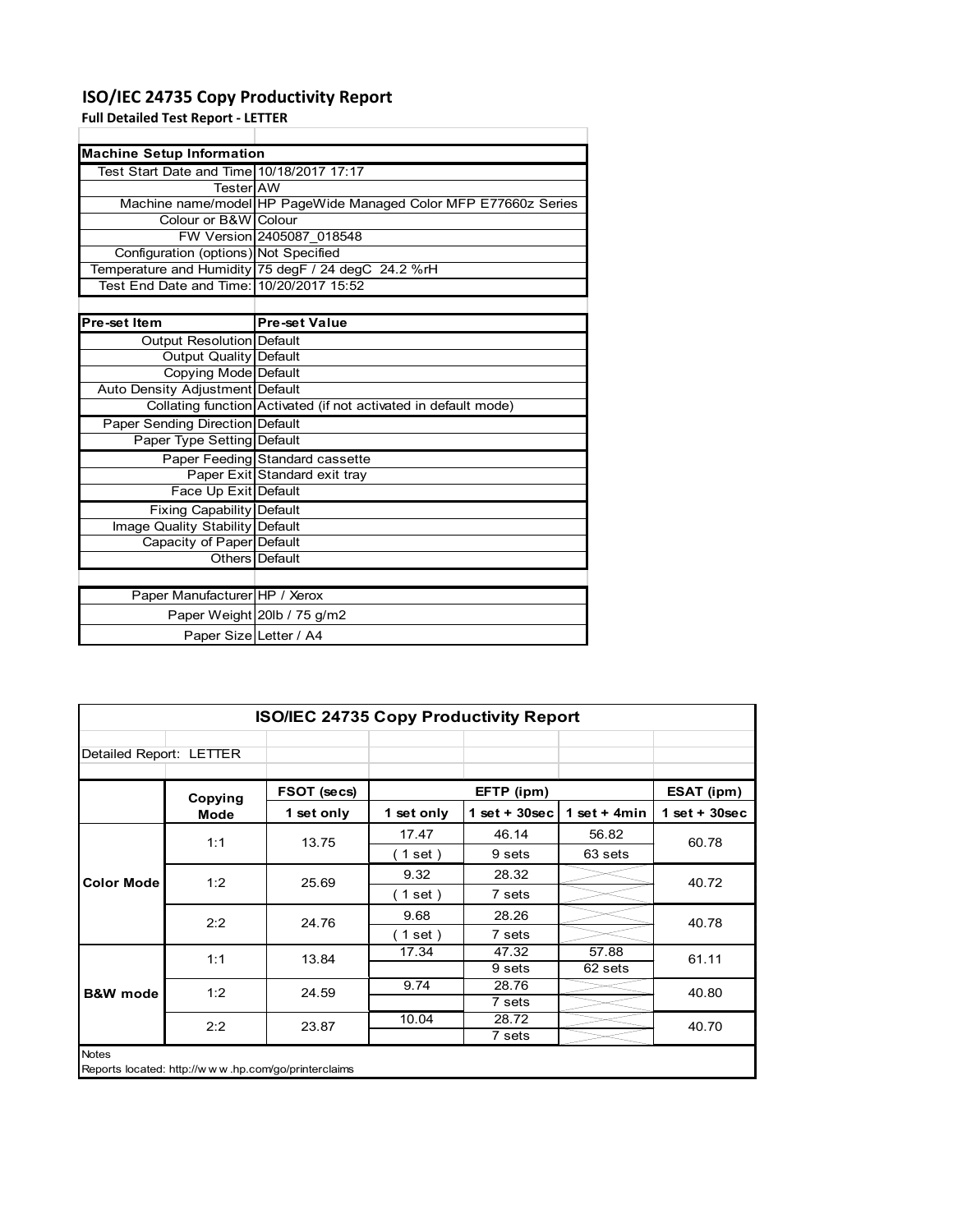## **ISO/IEC 24735 Copy Productivity Report**

**Full Detailed Test Report ‐ LETTER**

| <b>Machine Setup Information</b>          |                                                                 |
|-------------------------------------------|-----------------------------------------------------------------|
| Test Start Date and Time 10/18/2017 17:17 |                                                                 |
| TesterIAW                                 |                                                                 |
|                                           | Machine name/model HP PageWide Managed Color MFP E77660z Series |
| Colour or B&W Colour                      |                                                                 |
|                                           | FW Version 2405087 018548                                       |
| Configuration (options) Not Specified     |                                                                 |
|                                           | Temperature and Humidity 75 degF / 24 degC 24.2 %rH             |
| Test End Date and Time: 10/20/2017 15:52  |                                                                 |
|                                           |                                                                 |
|                                           |                                                                 |
| Pre-set Item                              | <b>Pre-set Value</b>                                            |
| Output Resolution Default                 |                                                                 |
| Output Quality Default                    |                                                                 |
| Copying Mode Default                      |                                                                 |
| Auto Density Adjustment Default           |                                                                 |
|                                           | Collating function Activated (if not activated in default mode) |
| Paper Sending Direction Default           |                                                                 |
| Paper Type Setting Default                |                                                                 |
|                                           | Paper Feeding Standard cassette                                 |
|                                           | Paper Exit Standard exit tray                                   |

| Output Resolution Default        |                                                                 |
|----------------------------------|-----------------------------------------------------------------|
| Output Quality Default           |                                                                 |
| Copying Mode Default             |                                                                 |
| Auto Density Adjustment Default  |                                                                 |
|                                  | Collating function Activated (if not activated in default mode) |
| Paper Sending Direction Default  |                                                                 |
| Paper Type Setting Default       |                                                                 |
|                                  | Paper Feeding Standard cassette                                 |
|                                  | Paper Exit Standard exit tray                                   |
| Face Up Exit Default             |                                                                 |
| <b>Fixing Capability Default</b> |                                                                 |
| Image Quality Stability Default  |                                                                 |
| Capacity of Paper Default        |                                                                 |
|                                  | Others Default                                                  |
|                                  |                                                                 |
| Paper Manufacturer HP / Xerox    |                                                                 |
|                                  | Paper Weight 20lb / 75 g/m2                                     |
| Paper Size Letter / A4           |                                                                 |

| <b>ISO/IEC 24735 Copy Productivity Report</b> |                                                     |             |                          |                  |                |                 |  |
|-----------------------------------------------|-----------------------------------------------------|-------------|--------------------------|------------------|----------------|-----------------|--|
| Detailed Report: LETTER                       |                                                     |             |                          |                  |                |                 |  |
|                                               | Copying                                             | FSOT (secs) |                          | EFTP (ipm)       |                | ESAT (ipm)      |  |
|                                               | Mode                                                | 1 set only  | 1 set only               | 1 set + $30$ sec | 1 set $+$ 4min | $1$ set + 30sec |  |
| <b>Color Mode</b>                             | 1:1                                                 | 13.75       | 17.47                    | 46.14            | 56.82          | 60.78           |  |
|                                               |                                                     |             | $\left( 1$ set $\right)$ | 9 sets           | 63 sets        |                 |  |
|                                               | 1:2                                                 | 25.69       | 9.32                     | 28.32            |                | 40.72           |  |
|                                               |                                                     |             | (1 set)                  | 7 sets           |                |                 |  |
|                                               | 2:2                                                 | 24.76       | 9.68                     | 28.26            |                | 40.78           |  |
|                                               |                                                     |             | (1 set)                  | 7 sets           |                |                 |  |
|                                               | 1:1                                                 | 13.84       | 17.34                    | 47.32            | 57.88          | 61.11           |  |
|                                               |                                                     |             |                          | 9 sets           | 62 sets        |                 |  |
| <b>B&amp;W</b> mode                           | 1:2                                                 | 24.59       | 9.74                     | 28.76            |                | 40.80           |  |
|                                               |                                                     |             |                          | 7 sets           |                |                 |  |
|                                               | 2:2                                                 | 23.87       | 10.04                    | 28.72            |                | 40.70           |  |
|                                               |                                                     |             |                          | 7 sets           |                |                 |  |
| <b>Notes</b>                                  | Reports located: http://www.hp.com/go/printerclaims |             |                          |                  |                |                 |  |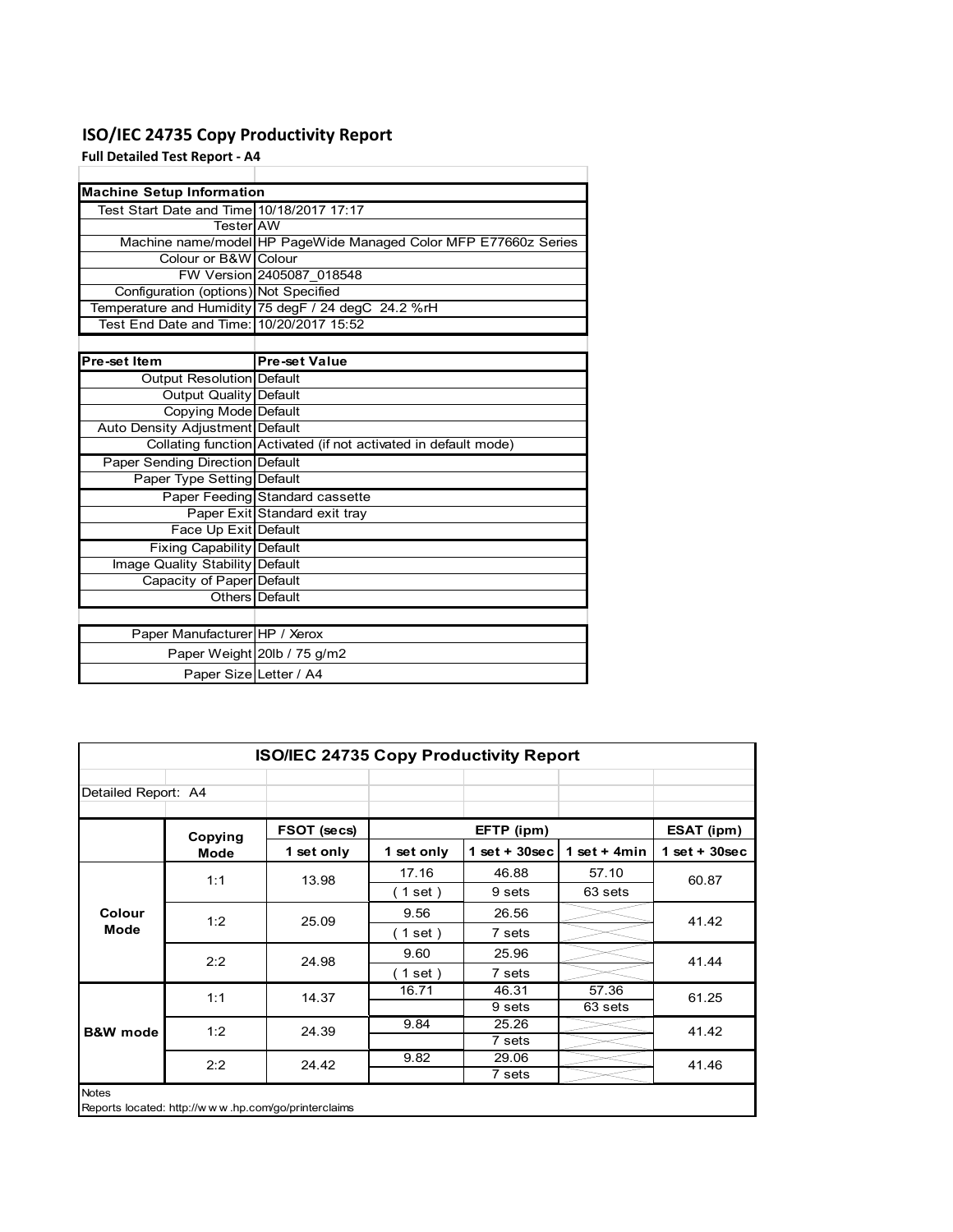# **ISO/IEC 24735 Copy Productivity Report**

**Full Detailed Test Report ‐ A4**

| <b>Machine Setup Information</b>          |                                                                 |
|-------------------------------------------|-----------------------------------------------------------------|
| Test Start Date and Time 10/18/2017 17:17 |                                                                 |
| TesterIAW                                 |                                                                 |
|                                           | Machine name/model HP PageWide Managed Color MFP E77660z Series |
| Colour or B&W Colour                      |                                                                 |
|                                           | FW Version 2405087 018548                                       |
| Configuration (options) Not Specified     |                                                                 |
|                                           | Temperature and Humidity 75 degF / 24 degC 24.2 %rH             |
| Test End Date and Time: 10/20/2017 15:52  |                                                                 |
|                                           |                                                                 |
| Pre-set Item                              | <b>Pre-set Value</b>                                            |
| Output Resolution Default                 |                                                                 |
| <b>Output Quality Default</b>             |                                                                 |
| Copying Mode Default                      |                                                                 |
| Auto Density Adjustment Default           |                                                                 |
|                                           | Collating function Activated (if not activated in default mode) |
| Paper Sending Direction Default           |                                                                 |
| Paper Type Setting Default                |                                                                 |
|                                           | Paper Feeding Standard cassette                                 |
|                                           | Paper Exit Standard exit tray                                   |
| Face Up Exit Default                      |                                                                 |
| <b>Fixing Capability Default</b>          |                                                                 |
| <b>Image Quality Stability Default</b>    |                                                                 |
| Capacity of Paper Default                 |                                                                 |
|                                           | Others Default                                                  |
|                                           |                                                                 |
| Paper Manufacturer HP / Xerox             |                                                                 |
|                                           | Paper Weight 20lb / 75 g/m2                                     |
| Paper Size Letter / A4                    |                                                                 |

| ISO/IEC 24735 Copy Productivity Report |             |             |                          |                 |                 |                 |  |
|----------------------------------------|-------------|-------------|--------------------------|-----------------|-----------------|-----------------|--|
| Detailed Report: A4                    |             |             |                          |                 |                 |                 |  |
|                                        | Copying     | FSOT (secs) |                          | EFTP (ipm)      |                 | ESAT (ipm)      |  |
|                                        | <b>Mode</b> | 1 set only  | 1 set only               | $1$ set + 30sec | 1 set + 4 $min$ | $1$ set + 30sec |  |
| Colour<br>Mode                         | 1:1         | 13.98       | 17.16                    | 46.88           | 57.10           | 60.87           |  |
|                                        |             |             | $1$ set)                 | 9 sets          | 63 sets         |                 |  |
|                                        | 1:2         | 25.09       | 9.56                     | 26.56           |                 | 41.42           |  |
|                                        |             |             | $1$ set)                 | 7 sets          |                 |                 |  |
|                                        | 2:2         | 24.98       | 9.60                     | 25.96           |                 | 41.44           |  |
|                                        |             |             | $\left( 1$ set $\right)$ | 7 sets          |                 |                 |  |
|                                        | 1:1         | 14.37       | 16.71                    | 46.31           | 57.36           | 61.25           |  |
|                                        |             |             |                          | 9 sets          | 63 sets         |                 |  |
| <b>B&amp;W</b> mode                    | 1:2         | 24.39       | 9.84                     | 25.26           |                 | 41.42           |  |
|                                        |             |             |                          | 7 sets          |                 |                 |  |
|                                        | 2:2         | 24.42       | 9.82                     | 29.06           |                 | 41.46           |  |
|                                        |             |             |                          | 7 sets          |                 |                 |  |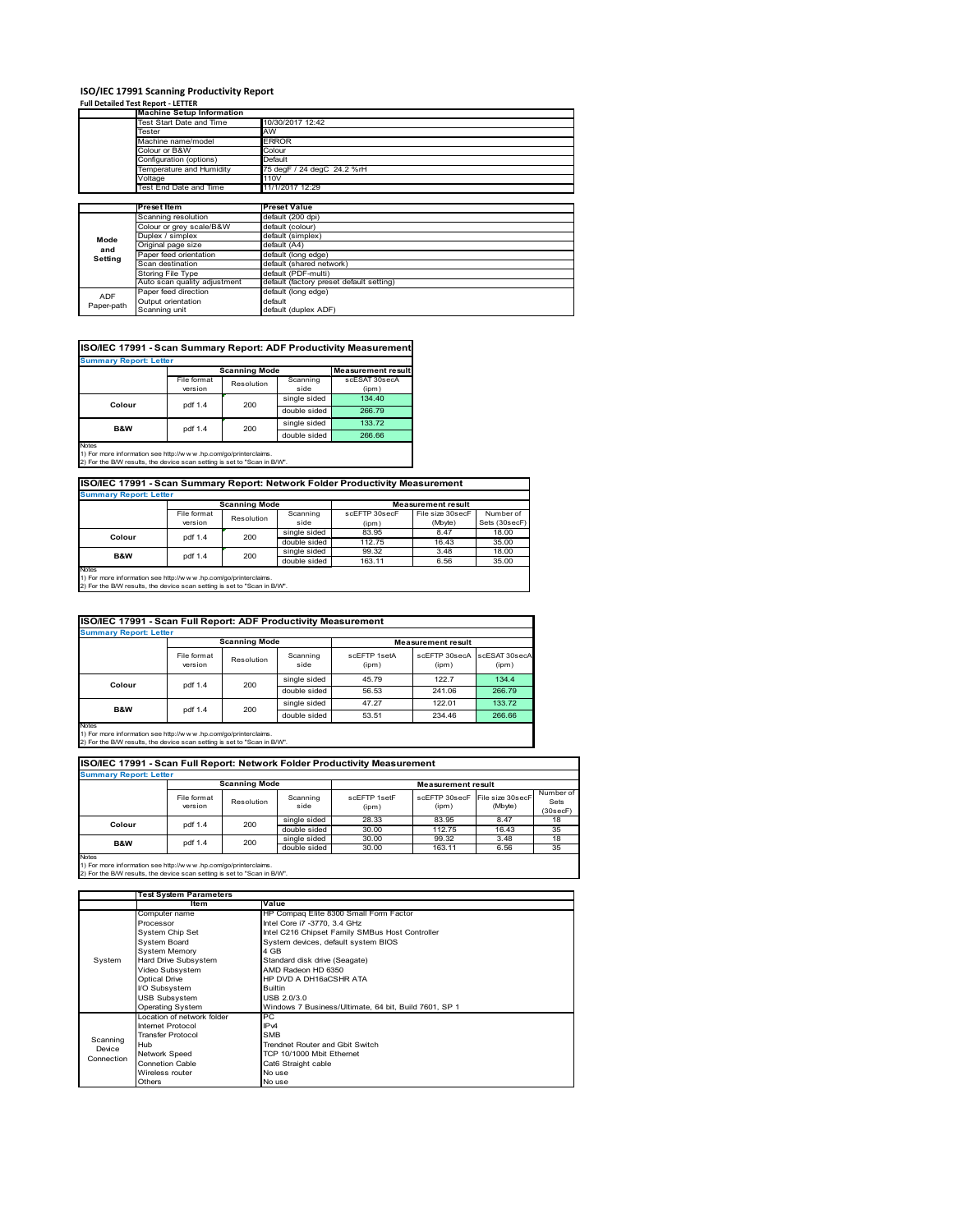# **ISO/IEC 17991 Scanning Productivity Report Full Detailed Test Report ‐ LETTER Machine Setup Information**

|                          | <b>Machine Setup Information</b> |                                          |
|--------------------------|----------------------------------|------------------------------------------|
|                          | <b>Test Start Date and Time</b>  | 10/30/2017 12:42                         |
|                          | Tester                           | AW                                       |
|                          | Machine name/model               | <b>ERROR</b>                             |
|                          | Colour or B&W                    | Colour                                   |
|                          | Configuration (options)          | Default                                  |
|                          | Temperature and Humidity         | 75 degF / 24 degC 24.2 %rH               |
|                          | Voltage                          | 110V                                     |
|                          | Test End Date and Time           | 11/1/2017 12:29                          |
|                          |                                  |                                          |
|                          | Preset Item                      | <b>Preset Value</b>                      |
|                          | Scanning resolution              | default (200 dpi)                        |
|                          |                                  |                                          |
|                          | Colour or grey scale/B&W         | default (colour)                         |
|                          | Duplex / simplex                 | default (simplex)                        |
| Mode                     | Original page size               | default (A4)                             |
| and                      | Paper feed orientation           | default (long edge)                      |
| Setting                  | Scan destination                 | default (shared network)                 |
|                          | Storing File Type                | default (PDF-multi)                      |
|                          | Auto scan quality adjustment     | default (factory preset default setting) |
|                          | Paper feed direction             | default (long edge)                      |
| <b>ADF</b><br>Paper-path | Output orientation               | default                                  |

|                               |             |                      |              | ISO/IEC 17991 - Scan Summary Report: ADF Productivity Measurement |
|-------------------------------|-------------|----------------------|--------------|-------------------------------------------------------------------|
| <b>Summary Report: Letter</b> |             |                      |              |                                                                   |
|                               |             | <b>Scanning Mode</b> |              | <b>Measurement result</b>                                         |
|                               | File format | Resolution           | Scanning     | scESAT 30secA                                                     |
|                               | version     |                      | side         | (ipm)                                                             |
| Colour                        | pdf 1.4     | 200                  | single sided | 134.40                                                            |
|                               |             |                      | double sided | 266.79                                                            |
| <b>B&amp;W</b>                | pdf 1.4     | 200                  | single sided | 133.72                                                            |
|                               |             |                      | double sided | 266.66                                                            |
| <b>Notes</b>                  |             |                      |              |                                                                   |

Notes 1) For more information see http://w w w .hp.com/go/printerclaims. 2) For the B/W results, the device scan setting is set to "Scan in B/W".

**ISO/IEC 17991 - Scan Summary Report: Network Folder Productivity Measurement**

| <b>Summary Report: Letter</b> |                      |            |              |                           |                  |               |  |
|-------------------------------|----------------------|------------|--------------|---------------------------|------------------|---------------|--|
|                               | <b>Scanning Mode</b> |            |              | <b>Measurement result</b> |                  |               |  |
|                               | File format          | Resolution | Scanning     | scEFTP 30secF             | File size 30secF | Number of     |  |
|                               | version              |            | side         | (ipm)                     | (Mbyte)          | Sets (30secF) |  |
| Colour                        | pdf 1.4              | 200        | single sided | 83.95                     | 8.47             | 18.00         |  |
|                               |                      |            | double sided | 112.75                    | 16.43            | 35.00         |  |
| B&W                           | pdf 1.4              | 200        | single sided | 99.32                     | 3.48             | 18.00         |  |
|                               |                      |            | double sided | 163.11                    | 6.56             | 35.00         |  |
| Notes                         |                      |            |              |                           |                  |               |  |

┓

Notes 1) For more information see http://w w w .hp.com/go/printerclaims. 2) For the B/W results, the device scan setting is set to "Scan in B/W".

| ISO/IEC 17991 - Scan Full Report: ADF Productivity Measurement |                        |            |                  |                           |                        |                        |  |  |
|----------------------------------------------------------------|------------------------|------------|------------------|---------------------------|------------------------|------------------------|--|--|
| <b>Summary Report: Letter</b>                                  |                        |            |                  |                           |                        |                        |  |  |
|                                                                | <b>Scanning Mode</b>   |            |                  | <b>Measurement result</b> |                        |                        |  |  |
|                                                                | File format<br>version | Resolution | Scanning<br>side | scEFTP 1setA<br>(ipm)     | scEFTP 30secA<br>(ipm) | scESAT 30secA<br>(ipm) |  |  |
| Colour                                                         |                        | 200        | single sided     | 45.79                     | 122.7                  | 134.4                  |  |  |
|                                                                | pdf 1.4                |            | double sided     | 56.53                     | 241.06                 | 266.79                 |  |  |
|                                                                | pdf 1.4                | 200        | single sided     | 47.27                     | 122.01                 | 133.72                 |  |  |
| B&W                                                            |                        |            | double sided     | 53.51                     | 234.46                 | 266.66                 |  |  |
| <b>Notes</b>                                                   |                        |            |                  |                           |                        |                        |  |  |

Notes 1) For more information see http://w w w .hp.com/go/printerclaims. 2) For the B/W results, the device scan setting is set to "Scan in B/W".

| ISO/IEC 17991 - Scan Full Report: Network Folder Productivity Measurement<br><b>Summary Report: Letter</b> |                        |                      |                  |                       |                           |                                           |                                |  |
|------------------------------------------------------------------------------------------------------------|------------------------|----------------------|------------------|-----------------------|---------------------------|-------------------------------------------|--------------------------------|--|
|                                                                                                            |                        | <b>Scanning Mode</b> |                  |                       | <b>Measurement result</b> |                                           |                                |  |
|                                                                                                            | File format<br>version | Resolution           | Scanning<br>side | scFFTP 1setF<br>(ipm) | (ipm)                     | scEFTP 30secF File size 30secF<br>(Mbyte) | Number of<br>Sets<br>(30 secF) |  |
| Colour                                                                                                     | pdf 1.4                | 200                  | single sided     | 28.33                 | 83.95                     | 8.47                                      | 18                             |  |
|                                                                                                            |                        |                      | double sided     | 30.00                 | 112.75                    | 16.43                                     | 35                             |  |
| <b>B&amp;W</b>                                                                                             | pdf 1.4                | 200                  | single sided     | 30.00                 | 99.32                     | 3.48                                      | 18                             |  |
|                                                                                                            |                        |                      | double sided     | 30.00                 | 163.11                    | 6.56                                      | 35                             |  |
| <b>Notes</b>                                                                                               |                        |                      |                  |                       |                           |                                           |                                |  |

1) For more information see http://w w w .hp.com/go/printerclaims. 2) For the B/W results, the device scan setting is set to "Scan in B/W".

|            | Test System Parameters      |                                                       |  |  |  |
|------------|-----------------------------|-------------------------------------------------------|--|--|--|
|            | <b>Item</b>                 | Value                                                 |  |  |  |
|            | Computer name               | HP Compaq Elite 8300 Small Form Factor                |  |  |  |
|            | Processor                   | Intel Core i7 -3770, 3.4 GHz                          |  |  |  |
|            | System Chip Set             | Intel C216 Chipset Family SMBus Host Controller       |  |  |  |
|            | <b>System Board</b>         | System devices, default system BIOS                   |  |  |  |
|            | <b>System Memory</b>        | 4 GB                                                  |  |  |  |
| System     | Hard Drive Subsystem        | Standard disk drive (Seagate)                         |  |  |  |
|            | Video Subsystem             | AMD Radeon HD 6350                                    |  |  |  |
|            | <b>Optical Drive</b>        | HP DVD A DH16aCSHR ATA                                |  |  |  |
|            | I/O Subsystem               | Builtin                                               |  |  |  |
|            | <b>USB Subsystem</b>        | USB 2.0/3.0                                           |  |  |  |
|            | Operating System            | Windows 7 Business/Ultimate, 64 bit, Build 7601, SP 1 |  |  |  |
|            | I ocation of network folder | PC.                                                   |  |  |  |
|            | Internet Protocol           | IP <sub>v4</sub>                                      |  |  |  |
| Scanning   | <b>Transfer Protocol</b>    | <b>SMB</b>                                            |  |  |  |
| Device     | Hub                         | Trendnet Router and Gbit Switch                       |  |  |  |
| Connection | <b>Network Speed</b>        | TCP 10/1000 Mbit Ethernet                             |  |  |  |
|            | <b>Connetion Cable</b>      | Cat6 Straight cable                                   |  |  |  |
|            | Wireless router             | No use                                                |  |  |  |
|            | Others                      | No use                                                |  |  |  |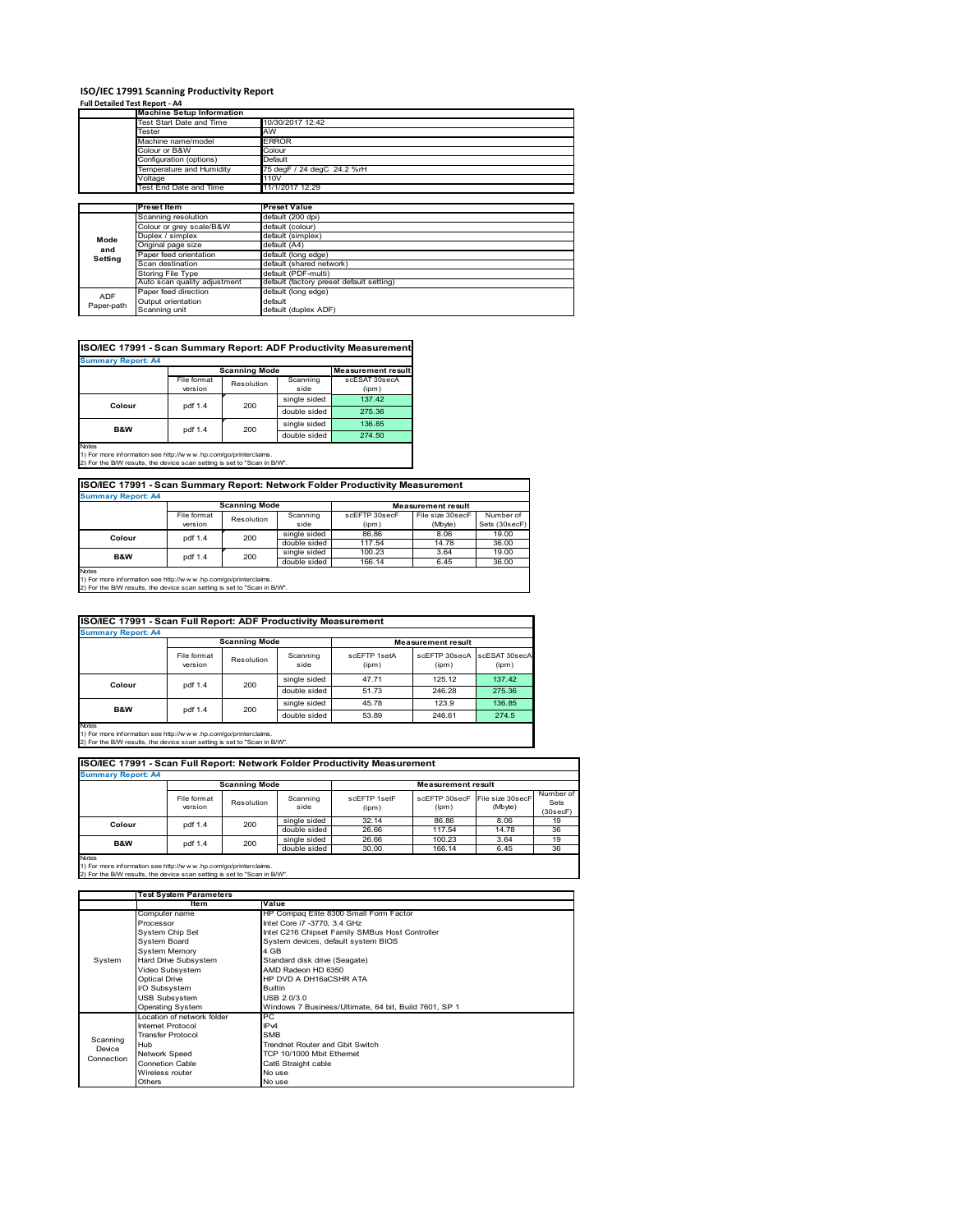### **ISO/IEC 17991 Scanning Productivity Report**

| Full Detailed Test Report - A4 |  |  |  |  |
|--------------------------------|--|--|--|--|
|                                |  |  |  |  |

| דמו ו שכנעווכע ו כאנו <i>וכ</i> אטוני <del>ה ד</del> |                                  |                                          |
|------------------------------------------------------|----------------------------------|------------------------------------------|
|                                                      | <b>Machine Setup Information</b> |                                          |
|                                                      | Test Start Date and Time         | 10/30/2017 12:42                         |
|                                                      | Tester                           | AW                                       |
|                                                      | Machine name/model               | <b>ERROR</b>                             |
|                                                      | Colour or B&W                    | Colour                                   |
|                                                      | Configuration (options)          | Default                                  |
|                                                      | Temperature and Humidity         | 75 degF / 24 degC 24.2 %rH               |
|                                                      | Voltage                          | 110V                                     |
|                                                      | Test End Date and Time           | 11/1/2017 12:29                          |
|                                                      |                                  |                                          |
|                                                      | <b>Preset Item</b>               | <b>Preset Value</b>                      |
|                                                      | Scanning resolution              | default (200 dpi)                        |
|                                                      | Colour or grey scale/B&W         | default (colour)                         |
| Mode                                                 | Duplex / simplex                 | default (simplex)                        |
| and                                                  | Original page size               | default (A4)                             |
|                                                      | Paper feed orientation           | default (long edge)                      |
| Setting                                              | Scan destination                 | default (shared network)                 |
|                                                      | Storing File Type                | default (PDF-multi)                      |
|                                                      | Auto scan quality adjustment     | default (factory preset default setting) |
| <b>ADF</b>                                           | Paper feed direction             | default (long edge)                      |
|                                                      | Output orientation               | default                                  |
| Paper-path                                           | Scanning unit                    | default (duplex ADF)                     |

|                           |             |                      |              | ISO/IEC 17991 - Scan Summary Report: ADF Productivity Measurement |
|---------------------------|-------------|----------------------|--------------|-------------------------------------------------------------------|
| <b>Summary Report: A4</b> |             |                      |              |                                                                   |
|                           |             | <b>Scanning Mode</b> |              | <b>Measurement result</b>                                         |
|                           | File format | Resolution           | Scanning     | scESAT 30secA                                                     |
|                           | version     |                      | side         | (ipm)                                                             |
| Colour                    | pdf 1.4     | 200                  | single sided | 137.42                                                            |
|                           |             |                      | double sided | 275.36                                                            |
| <b>B&amp;W</b>            | pdf 1.4     | 200                  | single sided | 136.85                                                            |
|                           |             |                      | double sided | 274.50                                                            |
| <b>Notae</b>              |             |                      |              |                                                                   |

Notes 1) For more information see http://w w w .hp.com/go/printerclaims. 2) For the B/W results, the device scan setting is set to "Scan in B/W".

| ISO/IEC 17991 - Scan Summary Report: Network Folder Productivity Measurement |                                                   |            |                  |                        |                             |                            |  |  |  |
|------------------------------------------------------------------------------|---------------------------------------------------|------------|------------------|------------------------|-----------------------------|----------------------------|--|--|--|
| <b>Summary Report: A4</b>                                                    |                                                   |            |                  |                        |                             |                            |  |  |  |
|                                                                              | <b>Scanning Mode</b><br><b>Measurement result</b> |            |                  |                        |                             |                            |  |  |  |
|                                                                              | File format<br>version                            | Resolution | Scanning<br>side | scEFTP 30secF<br>(ipm) | File size 30secF<br>(Mbyte) | Number of<br>Sets (30secF) |  |  |  |
| Colour                                                                       | pdf 1.4                                           | 200        | single sided     | 86.86                  | 8.06                        | 19.00                      |  |  |  |
|                                                                              |                                                   |            | double sided     | 117.54                 | 14.78                       | 36.00                      |  |  |  |
| B&W                                                                          | pdf 1.4                                           | 200        | single sided     | 100.23                 | 3.64                        | 19.00                      |  |  |  |
|                                                                              |                                                   |            | double sided     | 166.14                 | 6.45                        | 36.00                      |  |  |  |
| $1.1 - 1.1$                                                                  |                                                   |            |                  |                        |                             |                            |  |  |  |

Notes 1) For more information see http://w w w .hp.com/go/printerclaims. 2) For the B/W results, the device scan setting is set to "Scan in B/W".

| ISO/IEC 17991 - Scan Full Report: ADF Productivity Measurement |                        |            |                  |                       |                           |                        |  |  |  |
|----------------------------------------------------------------|------------------------|------------|------------------|-----------------------|---------------------------|------------------------|--|--|--|
| <b>Summary Report: A4</b>                                      |                        |            |                  |                       |                           |                        |  |  |  |
|                                                                | <b>Scanning Mode</b>   |            |                  |                       | <b>Measurement result</b> |                        |  |  |  |
|                                                                | File format<br>version | Resolution | Scanning<br>side | scFFTP 1setA<br>(ipm) | scEFTP 30secA<br>(ipm)    | scESAT 30secA<br>(ipm) |  |  |  |
| Colour                                                         | 200<br>pdf 1.4         |            | single sided     | 47.71                 | 125.12                    | 137.42                 |  |  |  |
|                                                                |                        |            | double sided     | 51.73                 | 246.28                    | 275.36                 |  |  |  |
| <b>B&amp;W</b>                                                 |                        |            | single sided     | 45.78                 | 123.9                     | 136.85                 |  |  |  |
|                                                                | pdf 1.4                | 200        | double sided     | 53.89                 | 246.61                    | 274.5                  |  |  |  |
| Notes                                                          |                        |            |                  |                       |                           |                        |  |  |  |

Notes 1) For more information see http://w w w .hp.com/go/printerclaims. 2) For the B/W results, the device scan setting is set to "Scan in B/W".

| <b>Summary Report: A4</b>                                                                                                                                   |                        |                      |                  |                       |                           |                             |                               |  |  |
|-------------------------------------------------------------------------------------------------------------------------------------------------------------|------------------------|----------------------|------------------|-----------------------|---------------------------|-----------------------------|-------------------------------|--|--|
|                                                                                                                                                             |                        | <b>Scanning Mode</b> |                  |                       | <b>Measurement result</b> |                             |                               |  |  |
|                                                                                                                                                             | File format<br>version | Resolution           | Scanning<br>side | scFFTP 1setF<br>(ipm) | scEETP 30secE<br>(ipm)    | File size 30secF<br>(Mbyte) | Number of<br>Sets<br>(30secF) |  |  |
| Colour                                                                                                                                                      | pdf 1.4                | 200                  | single sided     | 32.14                 | 86.86                     | 8.06                        | 19                            |  |  |
|                                                                                                                                                             |                        |                      | double sided     | 26.66                 | 117.54                    | 14.78                       | 36                            |  |  |
| <b>B&amp;W</b>                                                                                                                                              | pdf 1.4                | 200                  | single sided     | 26.66                 | 100.23                    | 3.64                        | 19                            |  |  |
|                                                                                                                                                             |                        |                      | double sided     | 30.00                 | 166.14                    | 6.45                        | 36                            |  |  |
| <b>Notes</b><br>1) For more information see http://www.hp.com/go/printerclaims.<br>2) For the B/W results, the device scan setting is set to "Scan in B/W". |                        |                      |                  |                       |                           |                             |                               |  |  |

 $\overline{\phantom{a}}$ 

|            | <b>Test System Parameters</b> |                                                       |  |  |  |  |
|------------|-------------------------------|-------------------------------------------------------|--|--|--|--|
|            | <b>Item</b>                   | Value                                                 |  |  |  |  |
|            | Computer name                 | HP Compaq Elite 8300 Small Form Factor                |  |  |  |  |
|            | Processor                     | Intel Core i7 -3770, 3.4 GHz                          |  |  |  |  |
|            | System Chip Set               | Intel C216 Chipset Family SMBus Host Controller       |  |  |  |  |
|            | <b>System Board</b>           | System devices, default system BIOS                   |  |  |  |  |
|            | System Memory                 | 4 GB                                                  |  |  |  |  |
| System     | Hard Drive Subsystem          | Standard disk drive (Seagate)                         |  |  |  |  |
|            | Video Subsystem               | AMD Radeon HD 6350                                    |  |  |  |  |
|            | <b>Optical Drive</b>          | HP DVD A DH16aCSHR ATA                                |  |  |  |  |
|            | I/O Subsystem                 | <b>Builtin</b>                                        |  |  |  |  |
|            | <b>USB Subsystem</b>          | USB 2.0/3.0                                           |  |  |  |  |
|            | <b>Operating System</b>       | Windows 7 Business/Ultimate, 64 bit, Build 7601, SP 1 |  |  |  |  |
|            | I ocation of network folder   | PC.                                                   |  |  |  |  |
|            | Internet Protocol             | IP <sub>v4</sub>                                      |  |  |  |  |
| Scanning   | <b>Transfer Protocol</b>      | <b>SMB</b>                                            |  |  |  |  |
| Device     | Hub                           | Trendnet Router and Gbit Switch                       |  |  |  |  |
| Connection | Network Speed                 | TCP 10/1000 Mbit Ethernet                             |  |  |  |  |
|            | <b>Connetion Cable</b>        | Cat6 Straight cable                                   |  |  |  |  |
|            | Wireless router               | No use                                                |  |  |  |  |
|            | Others                        | No use                                                |  |  |  |  |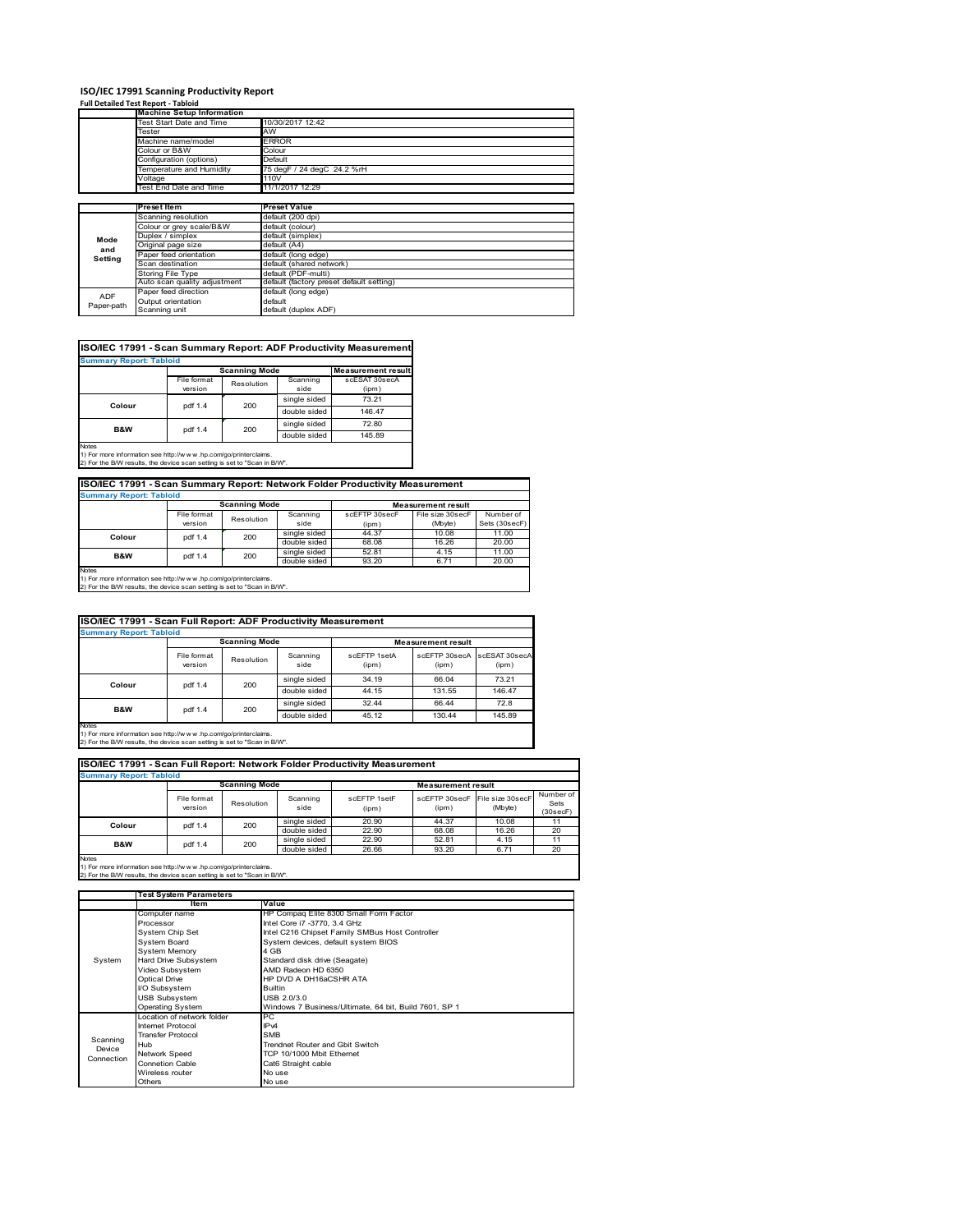# **ISO/IEC 17991 Scanning Productivity Report Full Detailed Test Report ‐ Tabloid**

|                          | <b>Machine Setup Information</b> |                                          |  |  |  |  |
|--------------------------|----------------------------------|------------------------------------------|--|--|--|--|
|                          | <b>Test Start Date and Time</b>  | 10/30/2017 12:42                         |  |  |  |  |
| <b>Fester</b>            |                                  | AW                                       |  |  |  |  |
|                          | Machine name/model               | <b>ERROR</b>                             |  |  |  |  |
|                          | Colour or B&W                    | Colour                                   |  |  |  |  |
|                          | Configuration (options)          | Default                                  |  |  |  |  |
|                          | Temperature and Humidity         | 75 degF / 24 degC 24.2 %rH               |  |  |  |  |
|                          | Voltage                          | 110V                                     |  |  |  |  |
|                          | Test End Date and Time           | 11/1/2017 12:29                          |  |  |  |  |
|                          |                                  |                                          |  |  |  |  |
|                          | <b>Preset Item</b>               | <b>Preset Value</b>                      |  |  |  |  |
|                          |                                  |                                          |  |  |  |  |
|                          | Scanning resolution              | default (200 dpi)                        |  |  |  |  |
|                          | Colour or grey scale/B&W         | default (colour)                         |  |  |  |  |
|                          | Duplex / simplex                 | default (simplex)                        |  |  |  |  |
| Mode                     | Original page size               | default (A4)                             |  |  |  |  |
| and                      | Paper feed orientation           | default (long edge)                      |  |  |  |  |
| Setting                  | Scan destination                 | default (shared network)                 |  |  |  |  |
|                          | Storing File Type                | default (PDF-multi)                      |  |  |  |  |
|                          | Auto scan quality adjustment     | default (factory preset default setting) |  |  |  |  |
|                          | Paper feed direction             | default (long edge)                      |  |  |  |  |
| <b>ADF</b><br>Paper-path | Output orientation               | default                                  |  |  |  |  |

| <b>Summary Report: Tabloid</b> |                               |              |                                              |
|--------------------------------|-------------------------------|--------------|----------------------------------------------|
|                                |                               |              | <b>Measurement result</b>                    |
| File format                    | Resolution                    | Scanning     | scESAT 30secA                                |
|                                |                               |              | (ipm)                                        |
|                                |                               |              | 73.21                                        |
|                                |                               | double sided | 146.47                                       |
|                                |                               | single sided | 72.80                                        |
|                                |                               | double sided | 145.89                                       |
|                                | version<br>pdf 1.4<br>pdf 1.4 | 200<br>200   | <b>Scanning Mode</b><br>side<br>single sided |

1) For more information see http://w w w .hp.com/go/printerclaims. 2) For the B/W results, the device scan setting is set to "Scan in B/W".

| ISO/IEC 17991 - Scan Summary Report: Network Folder Productivity Measurement |                                                   |            |              |               |                  |               |  |  |
|------------------------------------------------------------------------------|---------------------------------------------------|------------|--------------|---------------|------------------|---------------|--|--|
| <b>Summary Report: Tabloid</b>                                               |                                                   |            |              |               |                  |               |  |  |
|                                                                              | <b>Scanning Mode</b><br><b>Measurement result</b> |            |              |               |                  |               |  |  |
|                                                                              | File format                                       | Resolution | Scanning     | scEFTP 30secF | File size 30secF | Number of     |  |  |
|                                                                              | version                                           |            | side         | (ipm)         | (Mbyte)          | Sets (30secF) |  |  |
| Colour                                                                       | pdf 1.4                                           | 200        | single sided | 44.37         | 10.08            | 11.00         |  |  |
|                                                                              |                                                   |            | double sided | 68.08         | 16.26            | 20.00         |  |  |
| <b>B&amp;W</b>                                                               | pdf 1.4                                           | 200        | single sided | 52.81         | 4.15             | 11.00         |  |  |
|                                                                              |                                                   |            | double sided | 93.20         | 6.71             | 20.00         |  |  |

Notes 1) For more information see http://w w w .hp.com/go/printerclaims. 2) For the B/W results, the device scan setting is set to "Scan in B/W".

| ISO/IEC 17991 - Scan Full Report: ADF Productivity Measurement |                        |                      |                  |                       |                           |                        |  |  |  |
|----------------------------------------------------------------|------------------------|----------------------|------------------|-----------------------|---------------------------|------------------------|--|--|--|
| <b>Summary Report: Tabloid</b>                                 |                        |                      |                  |                       |                           |                        |  |  |  |
|                                                                |                        | <b>Scanning Mode</b> |                  |                       | <b>Measurement result</b> |                        |  |  |  |
|                                                                | File format<br>version | Resolution           | Scanning<br>side | scFFTP 1setA<br>(ipm) | scEETP 30secA<br>(ipm)    | scESAT 30secA<br>(ipm) |  |  |  |
|                                                                | pdf 1.4                |                      | single sided     | 34.19                 | 66.04                     | 73.21                  |  |  |  |
| Colour                                                         |                        | 200                  | double sided     | 44.15                 | 131.55                    | 146.47                 |  |  |  |
| <b>B&amp;W</b>                                                 | pdf 1.4                | 200                  | single sided     | 32.44                 | 66.44                     | 72.8                   |  |  |  |
|                                                                |                        |                      | double sided     | 45.12                 | 130.44                    | 145.89                 |  |  |  |
| <b>Notes</b>                                                   |                        |                      |                  |                       |                           |                        |  |  |  |

Notes 1) For more information see http://w w w .hp.com/go/printerclaims. 2) For the B/W results, the device scan setting is set to "Scan in B/W".

#### File format le format Resolution Scanning<br>
version Resolution side scEFTP 1setF (ipm) scEFTP 30secF (ipm) File size 30secF (Mbyte) Number of Sets (30secF) single sided 20.90 44.37 10.08<br>
double sided 22.90 68.08 16.26 double sided 22.90 68.08 16.26 20<br>
single sided 22.90 5.281 4.15 11<br>
double sided 26.66 93.20 6.71 20 single sided 22.90 52.81 4.15 11 **B&W** pdf 1.4 200 **Bangle sided** 26.66 93.20 6.71 20 **Scanning Mode Measurement result Colour** pdf 1.4 200 **Imary Report: Tablo ISO/IEC 17991 - Scan Full Report: Network Folder Productivity Measurement**

 $\overline{\phantom{a}}$ 

Notes 1) For more information see http://w w w .hp.com/go/printerclaims. 2) For the B/W results, the device scan setting is set to "Scan in B/W".

|            | Test System Parameters      |                                                       |  |  |  |  |
|------------|-----------------------------|-------------------------------------------------------|--|--|--|--|
|            | <b>Item</b>                 | Value                                                 |  |  |  |  |
|            | Computer name               | HP Compaq Elite 8300 Small Form Factor                |  |  |  |  |
|            | Processor                   | Intel Core i7 -3770, 3.4 GHz                          |  |  |  |  |
|            | System Chip Set             | Intel C216 Chipset Family SMBus Host Controller       |  |  |  |  |
|            | <b>System Board</b>         | System devices, default system BIOS                   |  |  |  |  |
|            | <b>System Memory</b>        | 4 GB                                                  |  |  |  |  |
| System     | Hard Drive Subsystem        | Standard disk drive (Seagate)                         |  |  |  |  |
|            | Video Subsystem             | AMD Radeon HD 6350                                    |  |  |  |  |
|            | <b>Optical Drive</b>        | HP DVD A DH16aCSHR ATA                                |  |  |  |  |
|            | I/O Subsystem               | <b>Builtin</b>                                        |  |  |  |  |
|            | <b>USB Subsystem</b>        | USB 2.0/3.0                                           |  |  |  |  |
|            | Operating System            | Windows 7 Business/Ultimate, 64 bit, Build 7601, SP 1 |  |  |  |  |
|            | I ocation of network folder | PC.                                                   |  |  |  |  |
|            | Internet Protocol           | IP <sub>v4</sub>                                      |  |  |  |  |
| Scanning   | <b>Transfer Protocol</b>    | <b>SMB</b>                                            |  |  |  |  |
| Device     | Hub                         | Trendnet Router and Gbit Switch                       |  |  |  |  |
| Connection | Network Speed               | TCP 10/1000 Mbit Ethernet                             |  |  |  |  |
|            | Connetion Cable             | Cat6 Straight cable                                   |  |  |  |  |
|            | Wireless router             | No use                                                |  |  |  |  |
|            | Others                      | No use                                                |  |  |  |  |